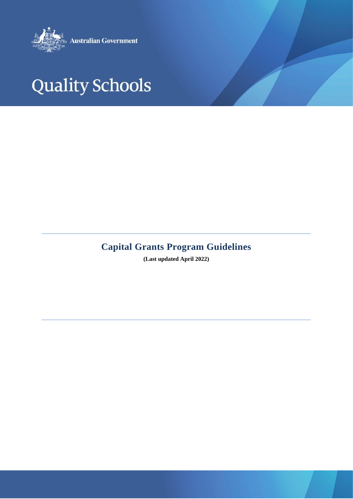

# **Quality Schools**

# **Capital Grants Program Guidelines**

**(Last updated April 2022)**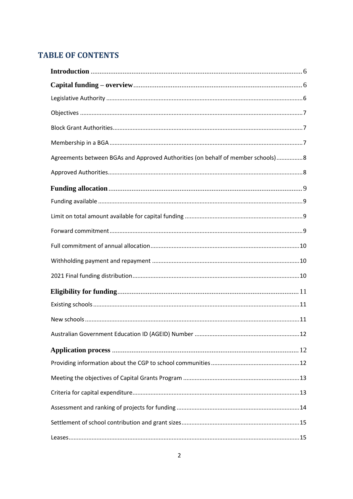# **TABLE OF CONTENTS**

| Agreements between BGAs and Approved Authorities (on behalf of member schools) 8 |  |
|----------------------------------------------------------------------------------|--|
|                                                                                  |  |
|                                                                                  |  |
|                                                                                  |  |
|                                                                                  |  |
|                                                                                  |  |
|                                                                                  |  |
|                                                                                  |  |
|                                                                                  |  |
|                                                                                  |  |
|                                                                                  |  |
|                                                                                  |  |
|                                                                                  |  |
|                                                                                  |  |
|                                                                                  |  |
|                                                                                  |  |
|                                                                                  |  |
|                                                                                  |  |
|                                                                                  |  |
|                                                                                  |  |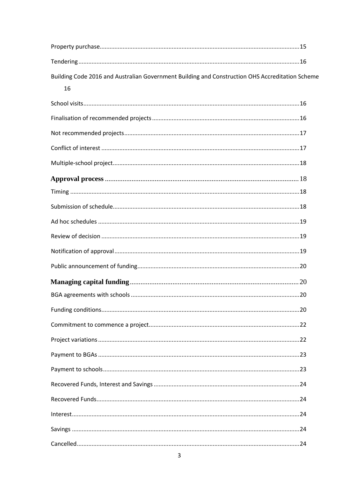| Building Code 2016 and Australian Government Building and Construction OHS Accreditation Scheme |  |
|-------------------------------------------------------------------------------------------------|--|
| 16                                                                                              |  |
|                                                                                                 |  |
|                                                                                                 |  |
|                                                                                                 |  |
|                                                                                                 |  |
|                                                                                                 |  |
|                                                                                                 |  |
|                                                                                                 |  |
|                                                                                                 |  |
|                                                                                                 |  |
|                                                                                                 |  |
|                                                                                                 |  |
|                                                                                                 |  |
|                                                                                                 |  |
|                                                                                                 |  |
|                                                                                                 |  |
|                                                                                                 |  |
|                                                                                                 |  |
|                                                                                                 |  |
|                                                                                                 |  |
|                                                                                                 |  |
|                                                                                                 |  |
|                                                                                                 |  |
|                                                                                                 |  |
|                                                                                                 |  |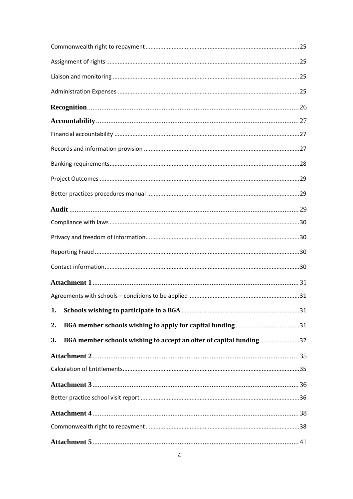| 1.                                                                        |
|---------------------------------------------------------------------------|
| 2.                                                                        |
| BGA member schools wishing to accept an offer of capital funding 32<br>3. |
|                                                                           |
|                                                                           |
|                                                                           |
|                                                                           |
|                                                                           |
|                                                                           |
|                                                                           |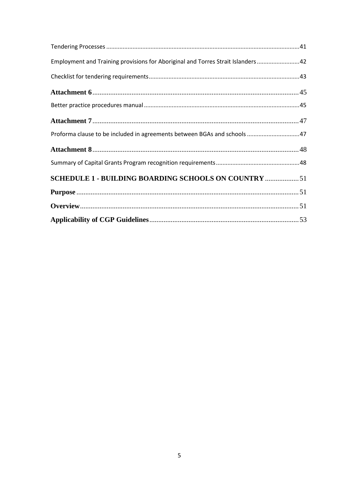| <b>SCHEDULE 1 - BUILDING BOARDING SCHOOLS ON COUNTRY  51</b>                    |  |
|---------------------------------------------------------------------------------|--|
|                                                                                 |  |
|                                                                                 |  |
| Proforma clause to be included in agreements between BGAs and schools 47        |  |
|                                                                                 |  |
|                                                                                 |  |
|                                                                                 |  |
|                                                                                 |  |
| Employment and Training provisions for Aboriginal and Torres Strait Islanders42 |  |
|                                                                                 |  |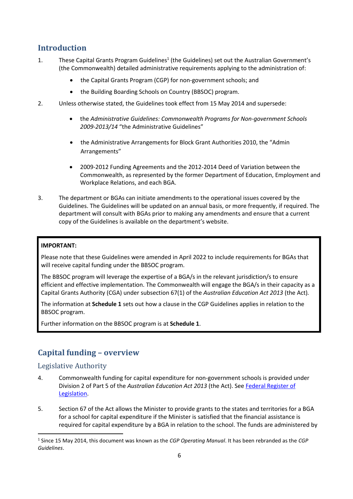# <span id="page-5-0"></span>**Introduction**

- 1. These Capital Grants Program Guidelines<sup>1</sup> (the Guidelines) set out the Australian Government's (the Commonwealth) detailed administrative requirements applying to the administration of:
	- the Capital Grants Program (CGP) for non-government schools; and
	- the Building Boarding Schools on Country (BBSOC) program.
- 2. Unless otherwise stated, the Guidelines took effect from 15 May 2014 and supersede:
	- the *Administrative Guidelines: Commonwealth Programs for Non-government Schools 2009-2013/14* "the Administrative Guidelines"
	- the Administrative Arrangements for Block Grant Authorities 2010, the "Admin Arrangements"
	- 2009-2012 Funding Agreements and the 2012-2014 Deed of Variation between the Commonwealth, as represented by the former Department of Education, Employment and Workplace Relations, and each BGA.
- 3. The department or BGAs can initiate amendments to the operational issues covered by the Guidelines. The Guidelines will be updated on an annual basis, or more frequently, if required. The department will consult with BGAs prior to making any amendments and ensure that a current copy of the Guidelines is available on the department's website.

## **IMPORTANT:**

Please note that these Guidelines were amended in April 2022 to include requirements for BGAs that will receive capital funding under the BBSOC program.

The BBSOC program will leverage the expertise of a BGA/s in the relevant jurisdiction/s to ensure efficient and effective implementation. The Commonwealth will engage the BGA/s in their capacity as a Capital Grants Authority (CGA) under subsection 67(1) of the *Australian Education Act 2013* (the Act)*.*

The information at **Schedule 1** sets out how a clause in the CGP Guidelines applies in relation to the BBSOC program.

Further information on the BBSOC program is at **Schedule 1**.

# <span id="page-5-1"></span>**Capital funding – overview**

# <span id="page-5-2"></span>Legislative Authority

- 4. Commonwealth funding for capital expenditure for non-government schools is provided under Division 2 of Part 5 of the *Australian Education Act 2013* (the Act). See [Federal Register of](https://www.legislation.gov.au/)  [Legislation.](https://www.legislation.gov.au/)
- 5. Section 67 of the Act allows the Minister to provide grants to the states and territories for a BGA for a school for capital expenditure if the Minister is satisfied that the financial assistance is required for capital expenditure by a BGA in relation to the school. The funds are administered by

<sup>1</sup> Since 15 May 2014, this document was known as the *CGP Operating Manual*. It has been rebranded as the *CGP Guidelines*.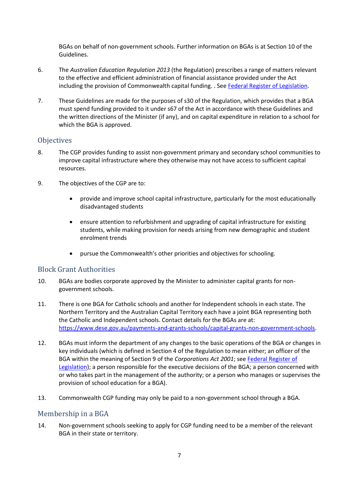BGAs on behalf of non-government schools. Further information on BGAs is at Section 10 of the Guidelines.

- 6. The *Australian Education Regulation 2013* (the Regulation) prescribes a range of matters relevant to the effective and efficient administration of financial assistance provided under the Act including the provision of Commonwealth capital funding. . Se[e Federal Register of Legislation.](https://www.legislation.gov.au/)
- 7. These Guidelines are made for the purposes of s30 of the Regulation, which provides that a BGA must spend funding provided to it under s67 of the Act in accordance with these Guidelines and the written directions of the Minister (if any), and on capital expenditure in relation to a school for which the BGA is approved.

## <span id="page-6-0"></span>**Objectives**

- 8. The CGP provides funding to assist non-government primary and secondary school communities to improve capital infrastructure where they otherwise may not have access to sufficient capital resources.
- 9. The objectives of the CGP are to:
	- provide and improve school capital infrastructure, particularly for the most educationally disadvantaged students
	- ensure attention to refurbishment and upgrading of capital infrastructure for existing students, while making provision for needs arising from new demographic and student enrolment trends
	- pursue the Commonwealth's other priorities and objectives for schooling.

# <span id="page-6-1"></span>Block Grant Authorities

- 10. BGAs are bodies corporate approved by the Minister to administer capital grants for nongovernment schools.
- 11. There is one BGA for Catholic schools and another for Independent schools in each state. The Northern Territory and the Australian Capital Territory each have a joint BGA representing both the Catholic and Independent schools. Contact details for the BGAs are at: [https://www.dese.gov.au/payments-and-grants-schools/capital-grants-non-government-schools.](https://www.dese.gov.au/payments-and-grants-schools/capital-grants-non-government-schools)
- 12. BGAs must inform the department of any changes to the basic operations of the BGA or changes in key individuals (which is defined in Section 4 of the Regulation to mean either; an officer of the BGA within the meaning of Section 9 of the *Corporations Act 2001*; se[e Federal Register of](https://www.legislation.gov.au/)  [Legislation\)](https://www.legislation.gov.au/); a person responsible for the executive decisions of the BGA; a person concerned with or who takes part in the management of the authority; or a person who manages or supervises the provision of school education for a BGA).
- 13. Commonwealth CGP funding may only be paid to a non-government school through a BGA.

# <span id="page-6-2"></span>Membership in a BGA

14. Non-government schools seeking to apply for CGP funding need to be a member of the relevant BGA in their state or territory.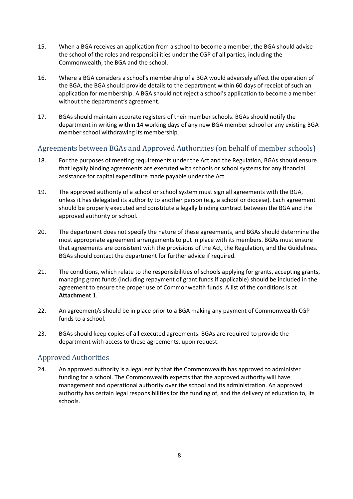- 15. When a BGA receives an application from a school to become a member, the BGA should advise the school of the roles and responsibilities under the CGP of all parties, including the Commonwealth, the BGA and the school.
- 16. Where a BGA considers a school's membership of a BGA would adversely affect the operation of the BGA, the BGA should provide details to the department within 60 days of receipt of such an application for membership. A BGA should not reject a school's application to become a member without the department's agreement.
- 17. BGAs should maintain accurate registers of their member schools. BGAs should notify the department in writing within 14 working days of any new BGA member school or any existing BGA member school withdrawing its membership.

# <span id="page-7-0"></span>Agreements between BGAs and Approved Authorities (on behalf of member schools)

- 18. For the purposes of meeting requirements under the Act and the Regulation, BGAs should ensure that legally binding agreements are executed with schools or school systems for any financial assistance for capital expenditure made payable under the Act.
- 19. The approved authority of a school or school system must sign all agreements with the BGA, unless it has delegated its authority to another person (e.g. a school or diocese). Each agreement should be properly executed and constitute a legally binding contract between the BGA and the approved authority or school.
- 20. The department does not specify the nature of these agreements, and BGAs should determine the most appropriate agreement arrangements to put in place with its members. BGAs must ensure that agreements are consistent with the provisions of the Act, the Regulation, and the Guidelines. BGAs should contact the department for further advice if required.
- 21. The conditions, which relate to the responsibilities of schools applying for grants, accepting grants, managing grant funds (including repayment of grant funds if applicable) should be included in the agreement to ensure the proper use of Commonwealth funds. A list of the conditions is at **Attachment 1**.
- 22. An agreement/s should be in place prior to a BGA making any payment of Commonwealth CGP funds to a school.
- 23. BGAs should keep copies of all executed agreements. BGAs are required to provide the department with access to these agreements, upon request.

# <span id="page-7-1"></span>Approved Authorities

24. An approved authority is a legal entity that the Commonwealth has approved to administer funding for a school. The Commonwealth expects that the approved authority will have management and operational authority over the school and its administration. An approved authority has certain legal responsibilities for the funding of, and the delivery of education to, its schools.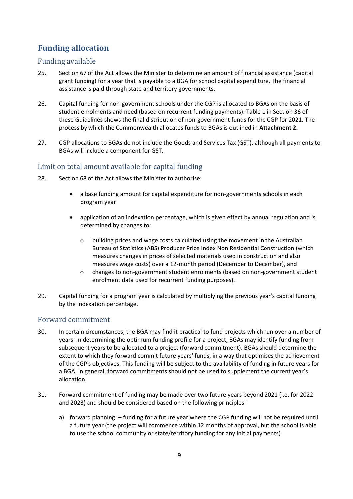# <span id="page-8-0"></span>**Funding allocation**

# <span id="page-8-1"></span>Funding available

- 25. Section 67 of the Act allows the Minister to determine an amount of financial assistance (capital grant funding) for a year that is payable to a BGA for school capital expenditure. The financial assistance is paid through state and territory governments.
- 26. Capital funding for non-government schools under the CGP is allocated to BGAs on the basis of student enrolments and need (based on recurrent funding payments). Table 1 in Section 36 of these Guidelines shows the final distribution of non-government funds for the CGP for 2021. The process by which the Commonwealth allocates funds to BGAs is outlined in **Attachment 2.**
- 27. CGP allocations to BGAs do not include the Goods and Services Tax (GST), although all payments to BGAs will include a component for GST.

# <span id="page-8-2"></span>Limit on total amount available for capital funding

- 28. Section 68 of the Act allows the Minister to authorise:
	- a base funding amount for capital expenditure for non-governments schools in each program year
	- application of an indexation percentage, which is given effect by annual regulation and is determined by changes to:
		- $\circ$  building prices and wage costs calculated using the movement in the Australian Bureau of Statistics (ABS) Producer Price Index Non Residential Construction (which measures changes in prices of selected materials used in construction and also measures wage costs) over a 12-month period (December to December), and
		- o changes to non-government student enrolments (based on non-government student enrolment data used for recurrent funding purposes).
- 29. Capital funding for a program year is calculated by multiplying the previous year's capital funding by the indexation percentage.

# <span id="page-8-3"></span>Forward commitment

- 30. In certain circumstances, the BGA may find it practical to fund projects which run over a number of years. In determining the optimum funding profile for a project, BGAs may identify funding from subsequent years to be allocated to a project (forward commitment). BGAs should determine the extent to which they forward commit future years' funds, in a way that optimises the achievement of the CGP's objectives. This funding will be subject to the availability of funding in future years for a BGA. In general, forward commitments should not be used to supplement the current year's allocation.
- 31. Forward commitment of funding may be made over two future years beyond 2021 (i.e. for 2022 and 2023) and should be considered based on the following principles:
	- a) forward planning: funding for a future year where the CGP funding will not be required until a future year (the project will commence within 12 months of approval, but the school is able to use the school community or state/territory funding for any initial payments)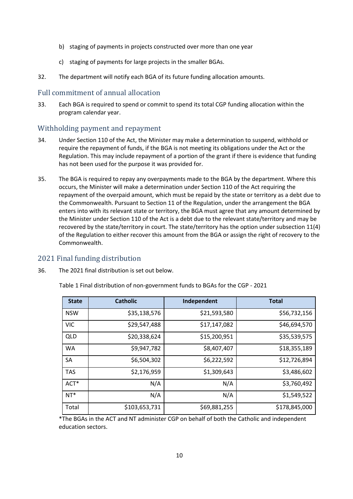- b) staging of payments in projects constructed over more than one year
- c) staging of payments for large projects in the smaller BGAs.
- 32. The department will notify each BGA of its future funding allocation amounts.

### <span id="page-9-0"></span>Full commitment of annual allocation

33. Each BGA is required to spend or commit to spend its total CGP funding allocation within the program calendar year.

## <span id="page-9-1"></span>Withholding payment and repayment

- 34. Under Section 110 of the Act, the Minister may make a determination to suspend, withhold or require the repayment of funds, if the BGA is not meeting its obligations under the Act or the Regulation. This may include repayment of a portion of the grant if there is evidence that funding has not been used for the purpose it was provided for.
- 35. The BGA is required to repay any overpayments made to the BGA by the department. Where this occurs, the Minister will make a determination under Section 110 of the Act requiring the repayment of the overpaid amount, which must be repaid by the state or territory as a debt due to the Commonwealth. Pursuant to Section 11 of the Regulation, under the arrangement the BGA enters into with its relevant state or territory, the BGA must agree that any amount determined by the Minister under Section 110 of the Act is a debt due to the relevant state/territory and may be recovered by the state/territory in court. The state/territory has the option under subsection 11(4) of the Regulation to either recover this amount from the BGA or assign the right of recovery to the Commonwealth.

## <span id="page-9-2"></span>2021 Final funding distribution

36. The 2021 final distribution is set out below.

| <b>State</b> | <b>Catholic</b> | Independent  | <b>Total</b>  |
|--------------|-----------------|--------------|---------------|
| <b>NSW</b>   | \$35,138,576    | \$21,593,580 | \$56,732,156  |
| <b>VIC</b>   | \$29,547,488    | \$17,147,082 | \$46,694,570  |
| <b>QLD</b>   | \$20,338,624    | \$15,200,951 | \$35,539,575  |
| <b>WA</b>    | \$9,947,782     | \$8,407,407  | \$18,355,189  |
| SA           | \$6,504,302     | \$6,222,592  | \$12,726,894  |
| <b>TAS</b>   | \$2,176,959     | \$1,309,643  | \$3,486,602   |
| $ACT*$       | N/A             | N/A          | \$3,760,492   |
| $NT*$        | N/A             | N/A          | \$1,549,522   |
| Total        | \$103,653,731   | \$69,881,255 | \$178,845,000 |

Table 1 Final distribution of non-government funds to BGAs for the CGP - 2021

\*The BGAs in the ACT and NT administer CGP on behalf of both the Catholic and independent education sectors.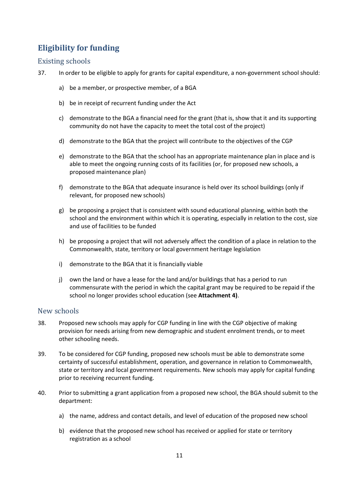# <span id="page-10-0"></span>**Eligibility for funding**

# <span id="page-10-1"></span>Existing schools

- 37. In order to be eligible to apply for grants for capital expenditure, a non-government school should:
	- a) be a member, or prospective member, of a BGA
	- b) be in receipt of recurrent funding under the Act
	- c) demonstrate to the BGA a financial need for the grant (that is, show that it and its supporting community do not have the capacity to meet the total cost of the project)
	- d) demonstrate to the BGA that the project will contribute to the objectives of the CGP
	- e) demonstrate to the BGA that the school has an appropriate maintenance plan in place and is able to meet the ongoing running costs of its facilities (or, for proposed new schools, a proposed maintenance plan)
	- f) demonstrate to the BGA that adequate insurance is held over its school buildings (only if relevant, for proposed new schools)
	- g) be proposing a project that is consistent with sound educational planning, within both the school and the environment within which it is operating, especially in relation to the cost, size and use of facilities to be funded
	- h) be proposing a project that will not adversely affect the condition of a place in relation to the Commonwealth, state, territory or local government heritage legislation
	- i) demonstrate to the BGA that it is financially viable
	- j) own the land or have a lease for the land and/or buildings that has a period to run commensurate with the period in which the capital grant may be required to be repaid if the school no longer provides school education (see **Attachment 4)**.

# <span id="page-10-2"></span>New schools

- 38. Proposed new schools may apply for CGP funding in line with the CGP objective of making provision for needs arising from new demographic and student enrolment trends, or to meet other schooling needs.
- 39. To be considered for CGP funding, proposed new schools must be able to demonstrate some certainty of successful establishment, operation, and governance in relation to Commonwealth, state or territory and local government requirements. New schools may apply for capital funding prior to receiving recurrent funding.
- 40. Prior to submitting a grant application from a proposed new school, the BGA should submit to the department:
	- a) the name, address and contact details, and level of education of the proposed new school
	- b) evidence that the proposed new school has received or applied for state or territory registration as a school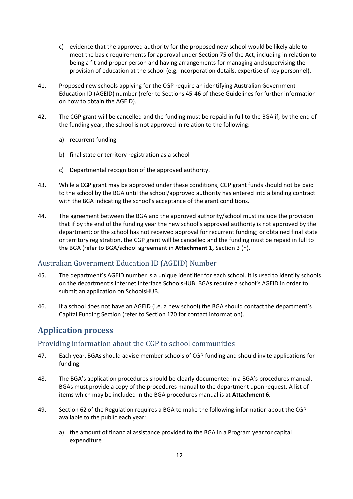- c) evidence that the approved authority for the proposed new school would be likely able to meet the basic requirements for approval under Section 75 of the Act, including in relation to being a fit and proper person and having arrangements for managing and supervising the provision of education at the school (e.g. incorporation details, expertise of key personnel).
- 41. Proposed new schools applying for the CGP require an identifying Australian Government Education ID (AGEID) number (refer to Sections 45-46 of these Guidelines for further information on how to obtain the AGEID).
- 42. The CGP grant will be cancelled and the funding must be repaid in full to the BGA if, by the end of the funding year, the school is not approved in relation to the following:
	- a) recurrent funding
	- b) final state or territory registration as a school
	- c) Departmental recognition of the approved authority.
- 43. While a CGP grant may be approved under these conditions, CGP grant funds should not be paid to the school by the BGA until the school/approved authority has entered into a binding contract with the BGA indicating the school's acceptance of the grant conditions.
- 44. The agreement between the BGA and the approved authority/school must include the provision that if by the end of the funding year the new school's approved authority is not approved by the department; or the school has not received approval for recurrent funding; or obtained final state or territory registration, the CGP grant will be cancelled and the funding must be repaid in full to the BGA (refer to BGA/school agreement in **Attachment 1,** Section 3 (h).

# <span id="page-11-0"></span>Australian Government Education ID (AGEID) Number

- 45. The department's AGEID number is a unique identifier for each school. It is used to identify schools on the department's internet interface SchoolsHUB. BGAs require a school's AGEID in order to submit an application on SchoolsHUB.
- 46. If a school does not have an AGEID (i.e. a new school) the BGA should contact the department's Capital Funding Section (refer to Section 170 for contact information).

# <span id="page-11-1"></span>**Application process**

# <span id="page-11-2"></span>Providing information about the CGP to school communities

- 47. Each year, BGAs should advise member schools of CGP funding and should invite applications for funding.
- 48. The BGA's application procedures should be clearly documented in a BGA's procedures manual. BGAs must provide a copy of the procedures manual to the department upon request. A list of items which may be included in the BGA procedures manual is at **Attachment 6.**
- 49. Section 62 of the Regulation requires a BGA to make the following information about the CGP available to the public each year:
	- a) the amount of financial assistance provided to the BGA in a Program year for capital expenditure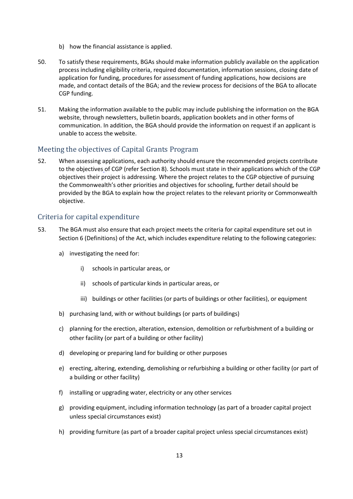- b) how the financial assistance is applied.
- 50. To satisfy these requirements, BGAs should make information publicly available on the application process including eligibility criteria, required documentation, information sessions, closing date of application for funding, procedures for assessment of funding applications, how decisions are made, and contact details of the BGA; and the review process for decisions of the BGA to allocate CGP funding.
- 51. Making the information available to the public may include publishing the information on the BGA website, through newsletters, bulletin boards, application booklets and in other forms of communication. In addition, the BGA should provide the information on request if an applicant is unable to access the website.

# <span id="page-12-0"></span>Meeting the objectives of Capital Grants Program

52. When assessing applications, each authority should ensure the recommended projects contribute to the objectives of CGP (refer Section 8). Schools must state in their applications which of the CGP objectives their project is addressing. Where the project relates to the CGP objective of pursuing the Commonwealth's other priorities and objectives for schooling, further detail should be provided by the BGA to explain how the project relates to the relevant priority or Commonwealth objective.

# <span id="page-12-1"></span>Criteria for capital expenditure

- 53. The BGA must also ensure that each project meets the criteria for capital expenditure set out in Section 6 (Definitions) of the Act, which includes expenditure relating to the following categories:
	- a) investigating the need for:
		- i) schools in particular areas, or
		- ii) schools of particular kinds in particular areas, or
		- iii) buildings or other facilities (or parts of buildings or other facilities), or equipment
	- b) purchasing land, with or without buildings (or parts of buildings)
	- c) planning for the erection, alteration, extension, demolition or refurbishment of a building or other facility (or part of a building or other facility)
	- d) developing or preparing land for building or other purposes
	- e) erecting, altering, extending, demolishing or refurbishing a building or other facility (or part of a building or other facility)
	- f) installing or upgrading water, electricity or any other services
	- g) providing equipment, including information technology (as part of a broader capital project unless special circumstances exist)
	- h) providing furniture (as part of a broader capital project unless special circumstances exist)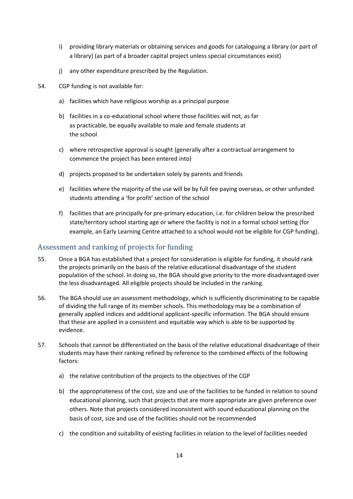- i) providing library materials or obtaining services and goods for cataloguing a library (or part of a library) (as part of a broader capital project unless special circumstances exist)
- j) any other expenditure prescribed by the Regulation.
- 54. CGP funding is not available for:
	- a) facilities which have religious worship as a principal purpose
	- b) facilities in a co-educational school where those facilities will not, as far as practicable, be equally available to male and female students at the school
	- c) where retrospective approval is sought (generally after a contractual arrangement to commence the project has been entered into)
	- d) projects proposed to be undertaken solely by parents and friends
	- e) facilities where the majority of the use will be by full fee paying overseas, or other unfunded students attending a 'for profit' section of the school
	- f) facilities that are principally for pre-primary education, i.e. for children below the prescribed state/territory school starting age or where the facility is not in a formal school setting (for example, an Early Learning Centre attached to a school would not be eligible for CGP funding).

#### <span id="page-13-0"></span>Assessment and ranking of projects for funding

- 55. Once a BGA has established that a project for consideration is eligible for funding, it should rank the projects primarily on the basis of the relative educational disadvantage of the student population of the school. In doing so, the BGA should give priority to the more disadvantaged over the less disadvantaged. All eligible projects should be included in the ranking.
- 56. The BGA should use an assessment methodology, which is sufficiently discriminating to be capable of dividing the full range of its member schools. This methodology may be a combination of generally applied indices and additional applicant-specific information. The BGA should ensure that these are applied in a consistent and equitable way which is able to be supported by evidence.
- 57. Schools that cannot be differentiated on the basis of the relative educational disadvantage of their students may have their ranking refined by reference to the combined effects of the following factors:
	- a) the relative contribution of the projects to the objectives of the CGP
	- b) the appropriateness of the cost, size and use of the facilities to be funded in relation to sound educational planning, such that projects that are more appropriate are given preference over others. Note that projects considered inconsistent with sound educational planning on the basis of cost, size and use of the facilities should not be recommended
	- c) the condition and suitability of existing facilities in relation to the level of facilities needed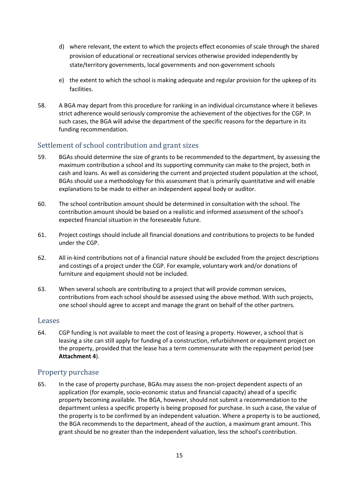- d) where relevant, the extent to which the projects effect economies of scale through the shared provision of educational or recreational services otherwise provided independently by state/territory governments, local governments and non-government schools
- e) the extent to which the school is making adequate and regular provision for the upkeep of its facilities.
- 58. A BGA may depart from this procedure for ranking in an individual circumstance where it believes strict adherence would seriously compromise the achievement of the objectives for the CGP. In such cases, the BGA will advise the department of the specific reasons for the departure in its funding recommendation.

# <span id="page-14-0"></span>Settlement of school contribution and grant sizes

- 59. BGAs should determine the size of grants to be recommended to the department, by assessing the maximum contribution a school and its supporting community can make to the project, both in cash and loans. As well as considering the current and projected student population at the school, BGAs should use a methodology for this assessment that is primarily quantitative and will enable explanations to be made to either an independent appeal body or auditor.
- 60. The school contribution amount should be determined in consultation with the school. The contribution amount should be based on a realistic and informed assessment of the school's expected financial situation in the foreseeable future.
- 61. Project costings should include all financial donations and contributions to projects to be funded under the CGP.
- 62. All in-kind contributions not of a financial nature should be excluded from the project descriptions and costings of a project under the CGP. For example, voluntary work and/or donations of furniture and equipment should not be included.
- 63. When several schools are contributing to a project that will provide common services, contributions from each school should be assessed using the above method. With such projects, one school should agree to accept and manage the grant on behalf of the other partners.

#### <span id="page-14-1"></span>Leases

64. CGP funding is not available to meet the cost of leasing a property. However, a school that is leasing a site can still apply for funding of a construction, refurbishment or equipment project on the property, provided that the lease has a term commensurate with the repayment period (see **Attachment 4**).

## <span id="page-14-2"></span>Property purchase

65. In the case of property purchase, BGAs may assess the non-project dependent aspects of an application (for example, socio-economic status and financial capacity) ahead of a specific property becoming available. The BGA, however, should not submit a recommendation to the department unless a specific property is being proposed for purchase. In such a case, the value of the property is to be confirmed by an independent valuation. Where a property is to be auctioned, the BGA recommends to the department, ahead of the auction, a maximum grant amount. This grant should be no greater than the independent valuation, less the school's contribution.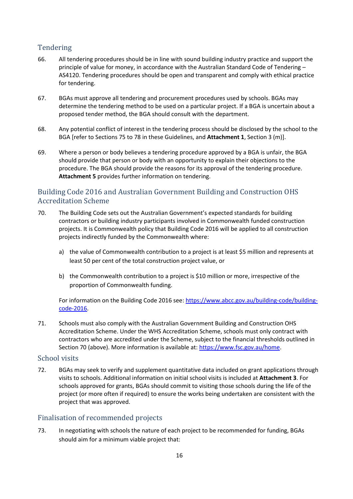# <span id="page-15-0"></span>Tendering

- 66. All tendering procedures should be in line with sound building industry practice and support the principle of value for money, in accordance with the Australian Standard Code of Tendering – AS4120. Tendering procedures should be open and transparent and comply with ethical practice for tendering.
- 67. BGAs must approve all tendering and procurement procedures used by schools. BGAs may determine the tendering method to be used on a particular project. If a BGA is uncertain about a proposed tender method, the BGA should consult with the department.
- 68. Any potential conflict of interest in the tendering process should be disclosed by the school to the BGA [refer to Sections 75 to 78 in these Guidelines, and **Attachment 1**, Section 3 (m)].
- 69. Where a person or body believes a tendering procedure approved by a BGA is unfair, the BGA should provide that person or body with an opportunity to explain their objections to the procedure. The BGA should provide the reasons for its approval of the tendering procedure. **Attachment 5** provides further information on tendering.

# <span id="page-15-1"></span>Building Code 2016 and Australian Government Building and Construction OHS Accreditation Scheme

- 70. The Building Code sets out the Australian Government's expected standards for building contractors or building industry participants involved in Commonwealth funded construction projects. It is Commonwealth policy that Building Code 2016 will be applied to all construction projects indirectly funded by the Commonwealth where:
	- a) the value of Commonwealth contribution to a project is at least \$5 million and represents at least 50 per cent of the total construction project value, or
	- b) the Commonwealth contribution to a project is \$10 million or more, irrespective of the proportion of Commonwealth funding.

For information on the Building Code 2016 see: [https://www.abcc.gov.au/building-code/building](https://www.abcc.gov.au/building-code/building-code-2016)[code-2016.](https://www.abcc.gov.au/building-code/building-code-2016)

71. Schools must also comply with the Australian Government Building and Construction OHS Accreditation Scheme. Under the WHS Accreditation Scheme, schools must only contract with contractors who are accredited under the Scheme, subject to the financial thresholds outlined in Section 70 (above). More information is available at: [https://www.fsc.gov.au/home.](https://www.fsc.gov.au/home)

# <span id="page-15-2"></span>School visits

72. BGAs may seek to verify and supplement quantitative data included on grant applications through visits to schools. Additional information on initial school visits is included at **Attachment 3**. For schools approved for grants, BGAs should commit to visiting those schools during the life of the project (or more often if required) to ensure the works being undertaken are consistent with the project that was approved.

# <span id="page-15-3"></span>Finalisation of recommended projects

73. In negotiating with schools the nature of each project to be recommended for funding, BGAs should aim for a minimum viable project that: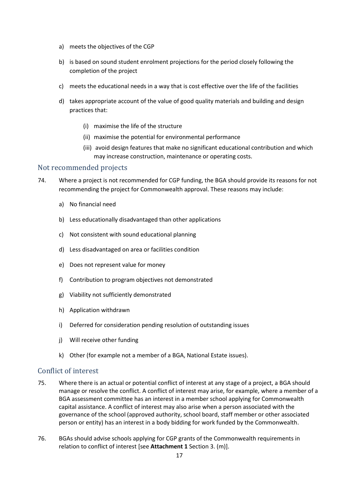- a) meets the objectives of the CGP
- b) is based on sound student enrolment projections for the period closely following the completion of the project
- c) meets the educational needs in a way that is cost effective over the life of the facilities
- d) takes appropriate account of the value of good quality materials and building and design practices that:
	- (i) maximise the life of the structure
	- (ii) maximise the potential for environmental performance
	- (iii) avoid design features that make no significant educational contribution and which may increase construction, maintenance or operating costs.

### <span id="page-16-0"></span>Not recommended projects

- 74. Where a project is not recommended for CGP funding, the BGA should provide its reasons for not recommending the project for Commonwealth approval. These reasons may include:
	- a) No financial need
	- b) Less educationally disadvantaged than other applications
	- c) Not consistent with sound educational planning
	- d) Less disadvantaged on area or facilities condition
	- e) Does not represent value for money
	- f) Contribution to program objectives not demonstrated
	- g) Viability not sufficiently demonstrated
	- h) Application withdrawn
	- i) Deferred for consideration pending resolution of outstanding issues
	- j) Will receive other funding
	- k) Other (for example not a member of a BGA, National Estate issues).

#### <span id="page-16-1"></span>Conflict of interest

- 75. Where there is an actual or potential conflict of interest at any stage of a project, a BGA should manage or resolve the conflict. A conflict of interest may arise, for example, where a member of a BGA assessment committee has an interest in a member school applying for Commonwealth capital assistance. A conflict of interest may also arise when a person associated with the governance of the school (approved authority, school board, staff member or other associated person or entity) has an interest in a body bidding for work funded by the Commonwealth.
- 76. BGAs should advise schools applying for CGP grants of the Commonwealth requirements in relation to conflict of interest [see **Attachment 1** Section 3. (m)].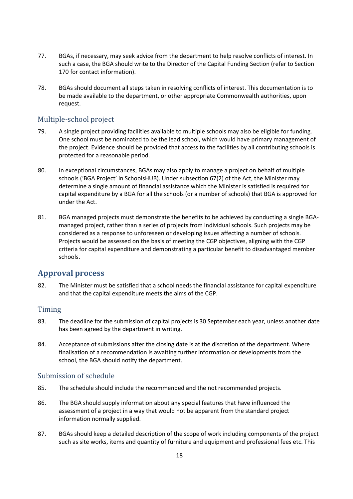- 77. BGAs, if necessary, may seek advice from the department to help resolve conflicts of interest. In such a case, the BGA should write to the Director of the Capital Funding Section (refer to Section 170 for contact information).
- 78. BGAs should document all steps taken in resolving conflicts of interest. This documentation is to be made available to the department, or other appropriate Commonwealth authorities, upon request.

# <span id="page-17-0"></span>Multiple-school project

- 79. A single project providing facilities available to multiple schools may also be eligible for funding. One school must be nominated to be the lead school, which would have primary management of the project. Evidence should be provided that access to the facilities by all contributing schools is protected for a reasonable period.
- 80. In exceptional circumstances, BGAs may also apply to manage a project on behalf of multiple schools ('BGA Project' in SchoolsHUB). Under subsection 67(2) of the Act, the Minister may determine a single amount of financial assistance which the Minister is satisfied is required for capital expenditure by a BGA for all the schools (or a number of schools) that BGA is approved for under the Act.
- 81. BGA managed projects must demonstrate the benefits to be achieved by conducting a single BGAmanaged project, rather than a series of projects from individual schools. Such projects may be considered as a response to unforeseen or developing issues affecting a number of schools. Projects would be assessed on the basis of meeting the CGP objectives, aligning with the CGP criteria for capital expenditure and demonstrating a particular benefit to disadvantaged member schools.

# <span id="page-17-1"></span>**Approval process**

82. The Minister must be satisfied that a school needs the financial assistance for capital expenditure and that the capital expenditure meets the aims of the CGP.

## <span id="page-17-2"></span>Timing

- 83. The deadline for the submission of capital projects is 30 September each year, unless another date has been agreed by the department in writing.
- 84. Acceptance of submissions after the closing date is at the discretion of the department. Where finalisation of a recommendation is awaiting further information or developments from the school, the BGA should notify the department.

## <span id="page-17-3"></span>Submission of schedule

- 85. The schedule should include the recommended and the not recommended projects.
- 86. The BGA should supply information about any special features that have influenced the assessment of a project in a way that would not be apparent from the standard project information normally supplied.
- 87. BGAs should keep a detailed description of the scope of work including components of the project such as site works, items and quantity of furniture and equipment and professional fees etc. This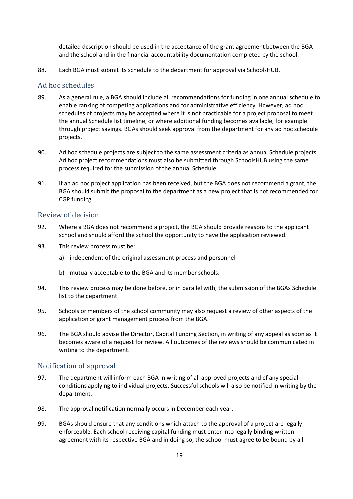detailed description should be used in the acceptance of the grant agreement between the BGA and the school and in the financial accountability documentation completed by the school.

88. Each BGA must submit its schedule to the department for approval via SchoolsHUB.

### <span id="page-18-0"></span>Ad hoc schedules

- 89. As a general rule, a BGA should include all recommendations for funding in one annual schedule to enable ranking of competing applications and for administrative efficiency. However, ad hoc schedules of projects may be accepted where it is not practicable for a project proposal to meet the annual Schedule list timeline, or where additional funding becomes available, for example through project savings. BGAs should seek approval from the department for any ad hoc schedule projects.
- 90. Ad hoc schedule projects are subject to the same assessment criteria as annual Schedule projects. Ad hoc project recommendations must also be submitted through SchoolsHUB using the same process required for the submission of the annual Schedule.
- 91. If an ad hoc project application has been received, but the BGA does not recommend a grant, the BGA should submit the proposal to the department as a new project that is not recommended for CGP funding.

#### <span id="page-18-1"></span>Review of decision

- 92. Where a BGA does not recommend a project, the BGA should provide reasons to the applicant school and should afford the school the opportunity to have the application reviewed.
- 93. This review process must be:
	- a) independent of the original assessment process and personnel
	- b) mutually acceptable to the BGA and its member schools.
- 94. This review process may be done before, or in parallel with, the submission of the BGAs Schedule list to the department.
- 95. Schools or members of the school community may also request a review of other aspects of the application or grant management process from the BGA.
- 96. The BGA should advise the Director, Capital Funding Section, in writing of any appeal as soon as it becomes aware of a request for review. All outcomes of the reviews should be communicated in writing to the department.

# <span id="page-18-2"></span>Notification of approval

- 97. The department will inform each BGA in writing of all approved projects and of any special conditions applying to individual projects. Successful schools will also be notified in writing by the department.
- 98. The approval notification normally occurs in December each year.
- 99. BGAs should ensure that any conditions which attach to the approval of a project are legally enforceable. Each school receiving capital funding must enter into legally binding written agreement with its respective BGA and in doing so, the school must agree to be bound by all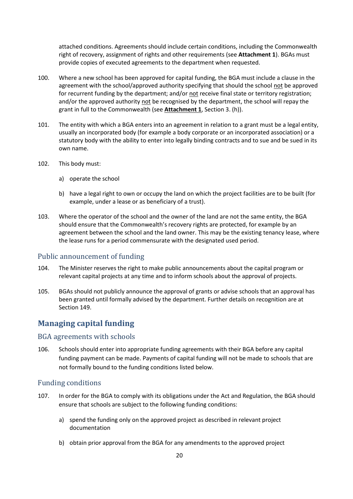attached conditions. Agreements should include certain conditions, including the Commonwealth right of recovery, assignment of rights and other requirements (see **Attachment 1**). BGAs must provide copies of executed agreements to the department when requested.

- 100. Where a new school has been approved for capital funding, the BGA must include a clause in the agreement with the school/approved authority specifying that should the school not be approved for recurrent funding by the department; and/or not receive final state or territory registration; and/or the approved authority not be recognised by the department, the school will repay the grant in full to the Commonwealth (see **Attachment 1**, Section 3. (h)).
- 101. The entity with which a BGA enters into an agreement in relation to a grant must be a legal entity, usually an incorporated body (for example a body corporate or an incorporated association) or a statutory body with the ability to enter into legally binding contracts and to sue and be sued in its own name.
- 102. This body must:
	- a) operate the school
	- b) have a legal right to own or occupy the land on which the project facilities are to be built (for example, under a lease or as beneficiary of a trust).
- 103. Where the operator of the school and the owner of the land are not the same entity, the BGA should ensure that the Commonwealth's recovery rights are protected, for example by an agreement between the school and the land owner. This may be the existing tenancy lease, where the lease runs for a period commensurate with the designated used period.

# <span id="page-19-0"></span>Public announcement of funding

- 104. The Minister reserves the right to make public announcements about the capital program or relevant capital projects at any time and to inform schools about the approval of projects.
- 105. BGAs should not publicly announce the approval of grants or advise schools that an approval has been granted until formally advised by the department. Further details on recognition are at Section 149.

# <span id="page-19-1"></span>**Managing capital funding**

## <span id="page-19-2"></span>BGA agreements with schools

106. Schools should enter into appropriate funding agreements with their BGA before any capital funding payment can be made. Payments of capital funding will not be made to schools that are not formally bound to the funding conditions listed below.

## <span id="page-19-3"></span>Funding conditions

- 107. In order for the BGA to comply with its obligations under the Act and Regulation, the BGA should ensure that schools are subject to the following funding conditions:
	- a) spend the funding only on the approved project as described in relevant project documentation
	- b) obtain prior approval from the BGA for any amendments to the approved project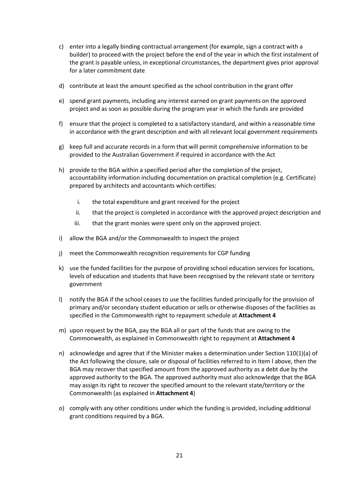- c) enter into a legally binding contractual arrangement (for example, sign a contract with a builder) to proceed with the project before the end of the year in which the first instalment of the grant is payable unless, in exceptional circumstances, the department gives prior approval for a later commitment date
- d) contribute at least the amount specified as the school contribution in the grant offer
- e) spend grant payments, including any interest earned on grant payments on the approved project and as soon as possible during the program year in which the funds are provided
- f) ensure that the project is completed to a satisfactory standard, and within a reasonable time in accordance with the grant description and with all relevant local government requirements
- g) keep full and accurate records in a form that will permit comprehensive information to be provided to the Australian Government if required in accordance with the Act
- h) provide to the BGA within a specified period after the completion of the project, accountability information including documentation on practical completion (e.g. Certificate) prepared by architects and accountants which certifies:
	- i. the total expenditure and grant received for the project
	- ii. that the project is completed in accordance with the approved project description and
	- iii. that the grant monies were spent only on the approved project.
- i) allow the BGA and/or the Commonwealth to inspect the project
- j) meet the Commonwealth recognition requirements for CGP funding
- k) use the funded facilities for the purpose of providing school education services for locations, levels of education and students that have been recognised by the relevant state or territory government
- l) notify the BGA if the school ceases to use the facilities funded principally for the provision of primary and/or secondary student education or sells or otherwise disposes of the facilities as specified in the Commonwealth right to repayment schedule at **Attachment 4**
- m) upon request by the BGA, pay the BGA all or part of the funds that are owing to the Commonwealth, as explained in Commonwealth right to repayment at **Attachment 4**
- n) acknowledge and agree that if the Minister makes a determination under Section 110(1)(a) of the Act following the closure, sale or disposal of facilities referred to in Item l above, then the BGA may recover that specified amount from the approved authority as a debt due by the approved authority to the BGA. The approved authority must also acknowledge that the BGA may assign its right to recover the specified amount to the relevant state/territory or the Commonwealth (as explained in **Attachment 4**)
- o) comply with any other conditions under which the funding is provided, including additional grant conditions required by a BGA.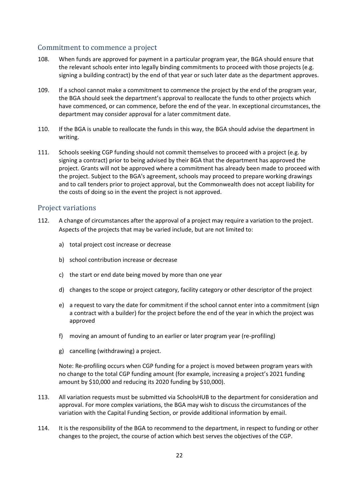### <span id="page-21-0"></span>Commitment to commence a project

- 108. When funds are approved for payment in a particular program year, the BGA should ensure that the relevant schools enter into legally binding commitments to proceed with those projects (e.g. signing a building contract) by the end of that year or such later date as the department approves.
- 109. If a school cannot make a commitment to commence the project by the end of the program year, the BGA should seek the department's approval to reallocate the funds to other projects which have commenced, or can commence, before the end of the year. In exceptional circumstances, the department may consider approval for a later commitment date.
- 110. If the BGA is unable to reallocate the funds in this way, the BGA should advise the department in writing.
- 111. Schools seeking CGP funding should not commit themselves to proceed with a project (e.g. by signing a contract) prior to being advised by their BGA that the department has approved the project. Grants will not be approved where a commitment has already been made to proceed with the project. Subject to the BGA's agreement, schools may proceed to prepare working drawings and to call tenders prior to project approval, but the Commonwealth does not accept liability for the costs of doing so in the event the project is not approved.

#### <span id="page-21-1"></span>Project variations

- 112. A change of circumstances after the approval of a project may require a variation to the project. Aspects of the projects that may be varied include, but are not limited to:
	- a) total project cost increase or decrease
	- b) school contribution increase or decrease
	- c) the start or end date being moved by more than one year
	- d) changes to the scope or project category, facility category or other descriptor of the project
	- e) a request to vary the date for commitment if the school cannot enter into a commitment (sign a contract with a builder) for the project before the end of the year in which the project was approved
	- f) moving an amount of funding to an earlier or later program year (re-profiling)
	- g) cancelling (withdrawing) a project.

Note: Re-profiling occurs when CGP funding for a project is moved between program years with no change to the total CGP funding amount (for example, increasing a project's 2021 funding amount by \$10,000 and reducing its 2020 funding by \$10,000).

- 113. All variation requests must be submitted via SchoolsHUB to the department for consideration and approval. For more complex variations, the BGA may wish to discuss the circumstances of the variation with the Capital Funding Section, or provide additional information by email.
- 114. It is the responsibility of the BGA to recommend to the department, in respect to funding or other changes to the project, the course of action which best serves the objectives of the CGP.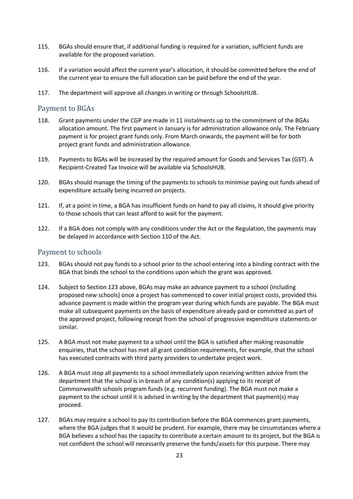- 115. BGAs should ensure that, if additional funding is required for a variation, sufficient funds are available for the proposed variation.
- 116. If a variation would affect the current year's allocation, it should be committed before the end of the current year to ensure the full allocation can be paid before the end of the year.
- 117. The department will approve all changes in writing or through SchoolsHUB.

#### <span id="page-22-0"></span>Payment to BGAs

- 118. Grant payments under the CGP are made in 11 instalments up to the commitment of the BGAs allocation amount. The first payment in January is for administration allowance only. The February payment is for project grant funds only. From March onwards, the payment will be for both project grant funds and administration allowance.
- 119. Payments to BGAs will be increased by the required amount for Goods and Services Tax (GST). A Recipient-Created Tax Invoice will be available via SchoolsHUB.
- 120. BGAs should manage the timing of the payments to schools to minimise paying out funds ahead of expenditure actually being incurred on projects.
- 121. If, at a point in time, a BGA has insufficient funds on hand to pay all claims, it should give priority to those schools that can least afford to wait for the payment.
- 122. If a BGA does not comply with any conditions under the Act or the Regulation, the payments may be delayed in accordance with Section 110 of the Act.

## <span id="page-22-1"></span>Payment to schools

- 123. BGAs should not pay funds to a school prior to the school entering into a binding contract with the BGA that binds the school to the conditions upon which the grant was approved.
- 124. Subject to Section 123 above, BGAs may make an advance payment to a school (including proposed new schools) once a project has commenced to cover initial project costs, provided this advance payment is made within the program year during which funds are payable. The BGA must make all subsequent payments on the basis of expenditure already paid or committed as part of the approved project, following receipt from the school of progressive expenditure statements or similar.
- 125. A BGA must not make payment to a school until the BGA is satisfied after making reasonable enquiries, that the school has met all grant condition requirements, for example, that the school has executed contracts with third party providers to undertake project work.
- 126. A BGA must stop all payments to a school immediately upon receiving written advice from the department that the school is in breach of any condition(s) applying to its receipt of Commonwealth schools program funds (e.g. recurrent funding). The BGA must not make a payment to the school until it is advised in writing by the department that payment(s) may proceed.
- 127. BGAs may require a school to pay its contribution before the BGA commences grant payments, where the BGA judges that it would be prudent. For example, there may be circumstances where a BGA believes a school has the capacity to contribute a certain amount to its project, but the BGA is not confident the school will necessarily preserve the funds/assets for this purpose. There may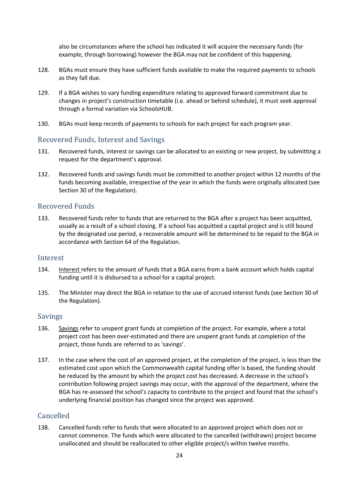also be circumstances where the school has indicated it will acquire the necessary funds (for example, through borrowing) however the BGA may not be confident of this happening.

- 128. BGAs must ensure they have sufficient funds available to make the required payments to schools as they fall due.
- 129. If a BGA wishes to vary funding expenditure relating to approved forward commitment due to changes in project's construction timetable (i.e. ahead or behind schedule), it must seek approval through a formal variation via SchoolsHUB.
- 130. BGAs must keep records of payments to schools for each project for each program year.

### <span id="page-23-0"></span>Recovered Funds, Interest and Savings

- 131. Recovered funds, interest or savings can be allocated to an existing or new project, by submitting a request for the department's approval.
- 132. Recovered funds and savings funds must be committed to another project within 12 months of the funds becoming available, irrespective of the year in which the funds were originally allocated (see Section 30 of the Regulation).

#### <span id="page-23-1"></span>Recovered Funds

133. Recovered funds refer to funds that are returned to the BGA after a project has been acquitted, usually as a result of a school closing. If a school has acquitted a capital project and is still bound by the designated use period, a recoverable amount will be determined to be repaid to the BGA in accordance with Section 64 of the Regulation.

#### <span id="page-23-2"></span>Interest

- 134. Interest refers to the amount of funds that a BGA earns from a bank account which holds capital funding until it is disbursed to a school for a capital project.
- 135. The Minister may direct the BGA in relation to the use of accrued interest funds (see Section 30 of the Regulation).

#### <span id="page-23-3"></span>Savings

- 136. Savings refer to unspent grant funds at completion of the project. For example, where a total project cost has been over-estimated and there are unspent grant funds at completion of the project, those funds are referred to as 'savings'.
- 137. In the case where the cost of an approved project, at the completion of the project, is less than the estimated cost upon which the Commonwealth capital funding offer is based, the funding should be reduced by the amount by which the project cost has decreased. A decrease in the school's contribution following project savings may occur, with the approval of the department, where the BGA has re-assessed the school's capacity to contribute to the project and found that the school's underlying financial position has changed since the project was approved.

# <span id="page-23-4"></span>Cancelled

138. Cancelled funds refer to funds that were allocated to an approved project which does not or cannot commence. The funds which were allocated to the cancelled (withdrawn) project become unallocated and should be reallocated to other eligible project/s within twelve months.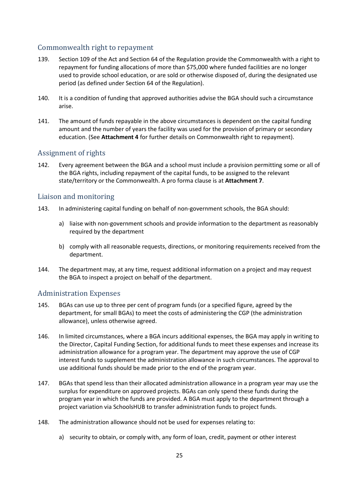# <span id="page-24-0"></span>Commonwealth right to repayment

- 139. Section 109 of the Act and Section 64 of the Regulation provide the Commonwealth with a right to repayment for funding allocations of more than \$75,000 where funded facilities are no longer used to provide school education, or are sold or otherwise disposed of, during the designated use period (as defined under Section 64 of the Regulation).
- 140. It is a condition of funding that approved authorities advise the BGA should such a circumstance arise.
- 141. The amount of funds repayable in the above circumstances is dependent on the capital funding amount and the number of years the facility was used for the provision of primary or secondary education. (See **Attachment 4** for further details on Commonwealth right to repayment).

# <span id="page-24-1"></span>Assignment of rights

142. Every agreement between the BGA and a school must include a provision permitting some or all of the BGA rights, including repayment of the capital funds, to be assigned to the relevant state/territory or the Commonwealth. A pro forma clause is at **Attachment 7**.

# <span id="page-24-2"></span>Liaison and monitoring

- 143. In administering capital funding on behalf of non-government schools, the BGA should:
	- a) liaise with non-government schools and provide information to the department as reasonably required by the department
	- b) comply with all reasonable requests, directions, or monitoring requirements received from the department.
- 144. The department may, at any time, request additional information on a project and may request the BGA to inspect a project on behalf of the department.

# <span id="page-24-3"></span>Administration Expenses

- 145. BGAs can use up to three per cent of program funds (or a specified figure, agreed by the department, for small BGAs) to meet the costs of administering the CGP (the administration allowance), unless otherwise agreed.
- 146. In limited circumstances, where a BGA incurs additional expenses, the BGA may apply in writing to the Director, Capital Funding Section, for additional funds to meet these expenses and increase its administration allowance for a program year. The department may approve the use of CGP interest funds to supplement the administration allowance in such circumstances. The approval to use additional funds should be made prior to the end of the program year.
- 147. BGAs that spend less than their allocated administration allowance in a program year may use the surplus for expenditure on approved projects. BGAs can only spend these funds during the program year in which the funds are provided. A BGA must apply to the department through a project variation via SchoolsHUB to transfer administration funds to project funds.
- 148. The administration allowance should not be used for expenses relating to:
	- a) security to obtain, or comply with, any form of loan, credit, payment or other interest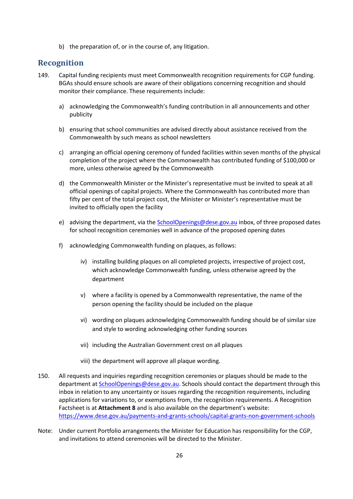b) the preparation of, or in the course of, any litigation.

# <span id="page-25-0"></span>**Recognition**

- 149. Capital funding recipients must meet Commonwealth recognition requirements for CGP funding. BGAs should ensure schools are aware of their obligations concerning recognition and should monitor their compliance. These requirements include:
	- a) acknowledging the Commonwealth's funding contribution in all announcements and other publicity
	- b) ensuring that school communities are advised directly about assistance received from the Commonwealth by such means as school newsletters
	- c) arranging an official opening ceremony of funded facilities within seven months of the physical completion of the project where the Commonwealth has contributed funding of \$100,000 or more, unless otherwise agreed by the Commonwealth
	- d) the Commonwealth Minister or the Minister's representative must be invited to speak at all official openings of capital projects. Where the Commonwealth has contributed more than fifty per cent of the total project cost, the Minister or Minister's representative must be invited to officially open the facility
	- e) advising the department, via the [SchoolOpenings@dese.gov.au](mailto:SchoolOpenings@dese.gov.au) inbox, of three proposed dates for school recognition ceremonies well in advance of the proposed opening dates
	- f) acknowledging Commonwealth funding on plaques, as follows:
		- iv) installing building plaques on all completed projects, irrespective of project cost, which acknowledge Commonwealth funding, unless otherwise agreed by the department
		- v) where a facility is opened by a Commonwealth representative, the name of the person opening the facility should be included on the plaque
		- vi) wording on plaques acknowledging Commonwealth funding should be of similar size and style to wording acknowledging other funding sources
		- vii) including the Australian Government crest on all plaques
		- viii) the department will approve all plaque wording.
- 150. All requests and inquiries regarding recognition ceremonies or plaques should be made to the department a[t SchoolOpenings@dese.gov.au.](mailto:SchoolOpenings@dese.gov.au) Schools should contact the department through this inbox in relation to any uncertainty or issues regarding the recognition requirements, including applications for variations to, or exemptions from, the recognition requirements. A Recognition Factsheet is at **Attachment 8** and is also available on the department's website: <https://www.dese.gov.au/payments-and-grants-schools/capital-grants-non-government-schools>
- Note: Under current Portfolio arrangements the Minister for Education has responsibility for the CGP, and invitations to attend ceremonies will be directed to the Minister.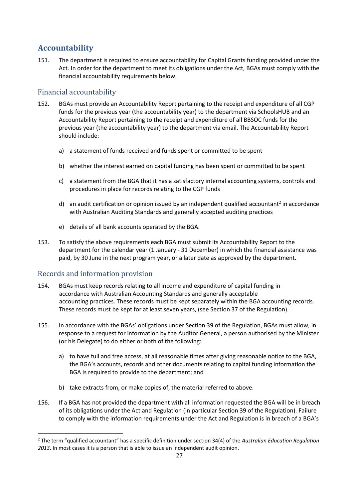# <span id="page-26-0"></span>**Accountability**

151. The department is required to ensure accountability for Capital Grants funding provided under the Act. In order for the department to meet its obligations under the Act, BGAs must comply with the financial accountability requirements below.

# <span id="page-26-1"></span>Financial accountability

- 152. BGAs must provide an Accountability Report pertaining to the receipt and expenditure of all CGP funds for the previous year (the accountability year) to the department via SchoolsHUB and an Accountability Report pertaining to the receipt and expenditure of all BBSOC funds for the previous year (the accountability year) to the department via email. The Accountability Report should include:
	- a) a statement of funds received and funds spent or committed to be spent
	- b) whether the interest earned on capital funding has been spent or committed to be spent
	- c) a statement from the BGA that it has a satisfactory internal accounting systems, controls and procedures in place for records relating to the CGP funds
	- d) an audit certification or opinion issued by an independent qualified accountant<sup>2</sup> in accordance with Australian Auditing Standards and generally accepted auditing practices
	- e) details of all bank accounts operated by the BGA.
- 153. To satisfy the above requirements each BGA must submit its Accountability Report to the department for the calendar year (1 January - 31 December) in which the financial assistance was paid, by 30 June in the next program year, or a later date as approved by the department.

# <span id="page-26-2"></span>Records and information provision

- 154. BGAs must keep records relating to all income and expenditure of capital funding in accordance with Australian Accounting Standards and generally acceptable accounting practices. These records must be kept separately within the BGA accounting records. These records must be kept for at least seven years, (see Section 37 of the Regulation)*.*
- 155. In accordance with the BGAs' obligations under Section 39 of the Regulation, BGAs must allow, in response to a request for information by the Auditor General, a person authorised by the Minister (or his Delegate) to do either or both of the following:
	- a) to have full and free access, at all reasonable times after giving reasonable notice to the BGA, the BGA's accounts, records and other documents relating to capital funding information the BGA is required to provide to the department; and
	- b) take extracts from, or make copies of, the material referred to above.
- 156. If a BGA has not provided the department with all information requested the BGA will be in breach of its obligations under the Act and Regulation (in particular Section 39 of the Regulation). Failure to comply with the information requirements under the Act and Regulation is in breach of a BGA's

<sup>2</sup> The term "qualified accountant" has a specific definition under section 34(4) of the *Australian Education Regulation 2013*. In most cases it is a person that is able to issue an independent audit opinion.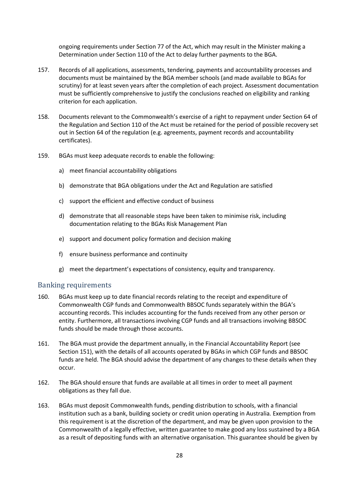ongoing requirements under Section 77 of the Act, which may result in the Minister making a Determination under Section 110 of the Act to delay further payments to the BGA.

- 157. Records of all applications, assessments, tendering, payments and accountability processes and documents must be maintained by the BGA member schools (and made available to BGAs for scrutiny) for at least seven years after the completion of each project. Assessment documentation must be sufficiently comprehensive to justify the conclusions reached on eligibility and ranking criterion for each application.
- 158. Documents relevant to the Commonwealth's exercise of a right to repayment under Section 64 of the Regulation and Section 110 of the Act must be retained for the period of possible recovery set out in Section 64 of the regulation (e.g. agreements, payment records and accountability certificates).
- 159. BGAs must keep adequate records to enable the following:
	- a) meet financial accountability obligations
	- b) demonstrate that BGA obligations under the Act and Regulation are satisfied
	- c) support the efficient and effective conduct of business
	- d) demonstrate that all reasonable steps have been taken to minimise risk, including documentation relating to the BGAs Risk Management Plan
	- e) support and document policy formation and decision making
	- f) ensure business performance and continuity
	- g) meet the department's expectations of consistency, equity and transparency.

#### <span id="page-27-0"></span>Banking requirements

- 160. BGAs must keep up to date financial records relating to the receipt and expenditure of Commonwealth CGP funds and Commonwealth BBSOC funds separately within the BGA's accounting records. This includes accounting for the funds received from any other person or entity. Furthermore, all transactions involving CGP funds and all transactions involving BBSOC funds should be made through those accounts.
- 161. The BGA must provide the department annually, in the Financial Accountability Report (see Section 151), with the details of all accounts operated by BGAs in which CGP funds and BBSOC funds are held. The BGA should advise the department of any changes to these details when they occur.
- 162. The BGA should ensure that funds are available at all times in order to meet all payment obligations as they fall due.
- 163. BGAs must deposit Commonwealth funds, pending distribution to schools, with a financial institution such as a bank, building society or credit union operating in Australia*.* Exemption from this requirement is at the discretion of the department, and may be given upon provision to the Commonwealth of a legally effective, written guarantee to make good any loss sustained by a BGA as a result of depositing funds with an alternative organisation. This guarantee should be given by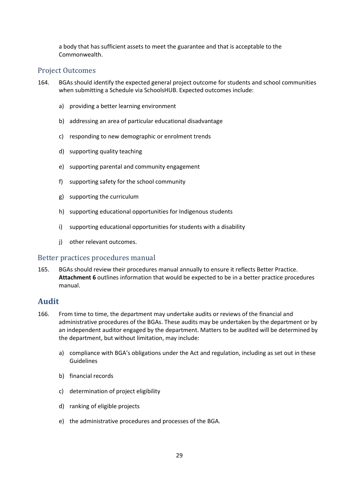a body that has sufficient assets to meet the guarantee and that is acceptable to the Commonwealth.

#### <span id="page-28-0"></span>Project Outcomes

- 164. BGAs should identify the expected general project outcome for students and school communities when submitting a Schedule via SchoolsHUB. Expected outcomes include:
	- a) providing a better learning environment
	- b) addressing an area of particular educational disadvantage
	- c) responding to new demographic or enrolment trends
	- d) supporting quality teaching
	- e) supporting parental and community engagement
	- f) supporting safety for the school community
	- g) supporting the curriculum
	- h) supporting educational opportunities for Indigenous students
	- i) supporting educational opportunities for students with a disability
	- j) other relevant outcomes.

#### <span id="page-28-1"></span>Better practices procedures manual

165. BGAs should review their procedures manual annually to ensure it reflects Better Practice. **Attachment 6** outlines information that would be expected to be in a better practice procedures manual.

# <span id="page-28-2"></span>**Audit**

- 166. From time to time, the department may undertake audits or reviews of the financial and administrative procedures of the BGAs. These audits may be undertaken by the department or by an independent auditor engaged by the department. Matters to be audited will be determined by the department, but without limitation, may include:
	- a) compliance with BGA's obligations under the Act and regulation, including as set out in these Guidelines
	- b) financial records
	- c) determination of project eligibility
	- d) ranking of eligible projects
	- e) the administrative procedures and processes of the BGA.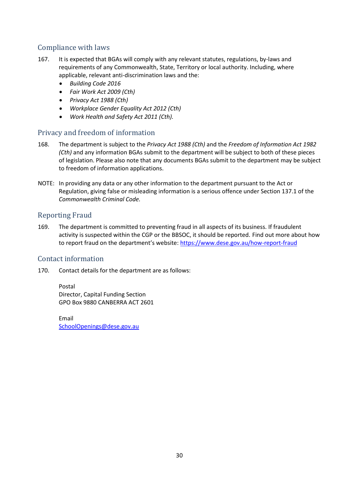# <span id="page-29-0"></span>Compliance with laws

- 167. It is expected that BGAs will comply with any relevant statutes, regulations, by-laws and requirements of any Commonwealth, State, Territory or local authority. Including, where applicable, relevant anti-discrimination laws and the:
	- *Building Code 2016*
	- *Fair Work Act 2009 (Cth)*
	- *Privacy Act 1988 (Cth)*
	- *Workplace Gender Equality Act 2012 (Cth)*
	- *Work Health and Safety Act 2011 (Cth).*

# <span id="page-29-1"></span>Privacy and freedom of information

- 168. The department is subject to the *Privacy Act 1988 (Cth)* and the *Freedom of Information Act 1982 (Cth)* and any information BGAs submit to the department will be subject to both of these pieces of legislation. Please also note that any documents BGAs submit to the department may be subject to freedom of information applications.
- NOTE: In providing any data or any other information to the department pursuant to the Act or Regulation, giving false or misleading information is a serious offence under Section 137.1 of the *Commonwealth Criminal Code.*

# <span id="page-29-2"></span>Reporting Fraud

169. The department is committed to preventing fraud in all aspects of its business. If fraudulent activity is suspected within the CGP or the BBSOC, it should be reported. Find out more about how to report fraud on the department's website: https://www.dese.gov.au/how-report-fraud

# <span id="page-29-3"></span>Contact information

170. Contact details for the department are as follows:

Postal Director, Capital Funding Section GPO Box 9880 CANBERRA ACT 2601

Email [SchoolOpenings@dese.gov.au](mailto:SchoolOpenings@dese.gov.au)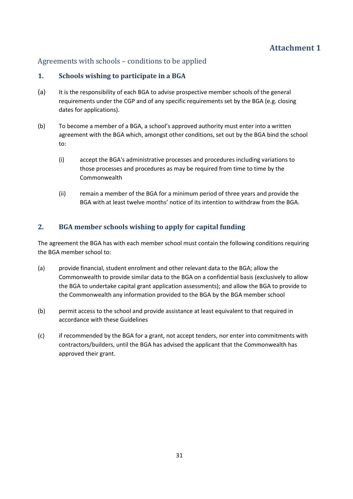# <span id="page-30-1"></span><span id="page-30-0"></span>Agreements with schools – conditions to be applied

### <span id="page-30-2"></span>**1. Schools wishing to participate in a BGA**

- (a) It is the responsibility of each BGA to advise prospective member schools of the general requirements under the CGP and of any specific requirements set by the BGA (e.g. closing dates for applications).
- (b) To become a member of a BGA, a school's approved authority must enter into a written agreement with the BGA which, amongst other conditions, set out by the BGA bind the school to:
	- (i) accept the BGA's administrative processes and procedures including variations to those processes and procedures as may be required from time to time by the Commonwealth
	- (ii) remain a member of the BGA for a minimum period of three years and provide the BGA with at least twelve months' notice of its intention to withdraw from the BGA.

# <span id="page-30-3"></span>**2. BGA member schools wishing to apply for capital funding**

The agreement the BGA has with each member school must contain the following conditions requiring the BGA member school to:

- (a) provide financial, student enrolment and other relevant data to the BGA; allow the Commonwealth to provide similar data to the BGA on a confidential basis (exclusively to allow the BGA to undertake capital grant application assessments); and allow the BGA to provide to the Commonwealth any information provided to the BGA by the BGA member school
- (b) permit access to the school and provide assistance at least equivalent to that required in accordance with these Guidelines
- (c) if recommended by the BGA for a grant, not accept tenders, nor enter into commitments with contractors/builders, until the BGA has advised the applicant that the Commonwealth has approved their grant.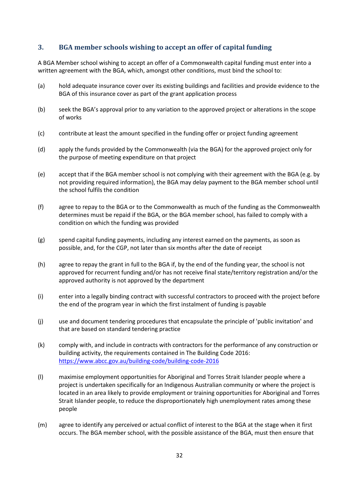# <span id="page-31-0"></span>**3. BGA member schools wishing to accept an offer of capital funding**

A BGA Member school wishing to accept an offer of a Commonwealth capital funding must enter into a written agreement with the BGA, which, amongst other conditions, must bind the school to:

- (a) hold adequate insurance cover over its existing buildings and facilities and provide evidence to the BGA of this insurance cover as part of the grant application process
- (b) seek the BGA's approval prior to any variation to the approved project or alterations in the scope of works
- (c) contribute at least the amount specified in the funding offer or project funding agreement
- (d) apply the funds provided by the Commonwealth (via the BGA) for the approved project only for the purpose of meeting expenditure on that project
- (e) accept that if the BGA member school is not complying with their agreement with the BGA (e.g. by not providing required information), the BGA may delay payment to the BGA member school until the school fulfils the condition
- (f) agree to repay to the BGA or to the Commonwealth as much of the funding as the Commonwealth determines must be repaid if the BGA, or the BGA member school, has failed to comply with a condition on which the funding was provided
- (g) spend capital funding payments, including any interest earned on the payments, as soon as possible, and, for the CGP, not later than six months after the date of receipt
- (h) agree to repay the grant in full to the BGA if, by the end of the funding year, the school is not approved for recurrent funding and/or has not receive final state/territory registration and/or the approved authority is not approved by the department
- (i) enter into a legally binding contract with successful contractors to proceed with the project before the end of the program year in which the first instalment of funding is payable
- (j) use and document tendering procedures that encapsulate the principle of 'public invitation' and that are based on standard tendering practice
- (k) comply with, and include in contracts with contractors for the performance of any construction or building activity, the requirements contained in The Building Code 2016: https://www.abcc.gov.au/building-code/building-code-2016
- (l) maximise employment opportunities for Aboriginal and Torres Strait Islander people where a project is undertaken specifically for an Indigenous Australian community or where the project is located in an area likely to provide employment or training opportunities for Aboriginal and Torres Strait Islander people, to reduce the disproportionately high unemployment rates among these people
- (m) agree to identify any perceived or actual conflict of interest to the BGA at the stage when it first occurs. The BGA member school, with the possible assistance of the BGA, must then ensure that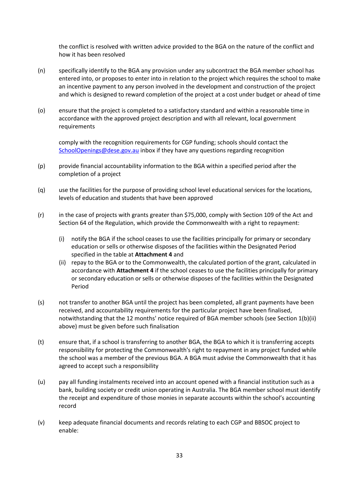the conflict is resolved with written advice provided to the BGA on the nature of the conflict and how it has been resolved

- (n) specifically identify to the BGA any provision under any subcontract the BGA member school has entered into, or proposes to enter into in relation to the project which requires the school to make an incentive payment to any person involved in the development and construction of the project and which is designed to reward completion of the project at a cost under budget or ahead of time
- (o) ensure that the project is completed to a satisfactory standard and within a reasonable time in accordance with the approved project description and with all relevant, local government requirements

comply with the recognition requirements for CGP funding; schools should contact the [SchoolOpenings@dese.gov.au](mailto:SchoolOpenings@dese.gov.au) inbox if they have any questions regarding recognition

- (p) provide financial accountability information to the BGA within a specified period after the completion of a project
- (q) use the facilities for the purpose of providing school level educational services for the locations, levels of education and students that have been approved
- (r) in the case of projects with grants greater than \$75,000, comply with Section 109 of the Act and Section 64 of the Regulation, which provide the Commonwealth with a right to repayment:
	- (i) notify the BGA if the school ceases to use the facilities principally for primary or secondary education or sells or otherwise disposes of the facilities within the Designated Period specified in the table at **Attachment 4** and
	- (ii) repay to the BGA or to the Commonwealth, the calculated portion of the grant, calculated in accordance with **Attachment 4** if the school ceases to use the facilities principally for primary or secondary education or sells or otherwise disposes of the facilities within the Designated Period
- (s) not transfer to another BGA until the project has been completed, all grant payments have been received, and accountability requirements for the particular project have been finalised, notwithstanding that the 12 months' notice required of BGA member schools (see Section 1(b)(ii) above) must be given before such finalisation
- (t) ensure that, if a school is transferring to another BGA, the BGA to which it is transferring accepts responsibility for protecting the Commonwealth's right to repayment in any project funded while the school was a member of the previous BGA. A BGA must advise the Commonwealth that it has agreed to accept such a responsibility
- (u) pay all funding instalments received into an account opened with a financial institution such as a bank, building society or credit union operating in Australia. The BGA member school must identify the receipt and expenditure of those monies in separate accounts within the school's accounting record
- (v) keep adequate financial documents and records relating to each CGP and BBSOC project to enable: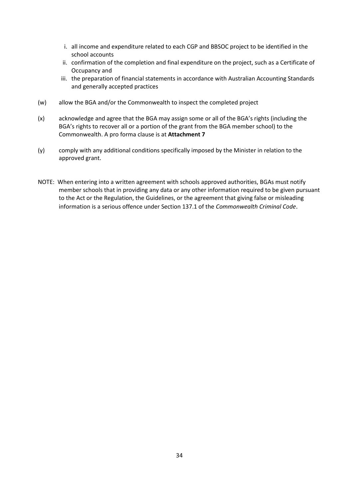- i. all income and expenditure related to each CGP and BBSOC project to be identified in the school accounts
- ii. confirmation of the completion and final expenditure on the project, such as a Certificate of Occupancy and
- iii. the preparation of financial statements in accordance with Australian Accounting Standards and generally accepted practices
- (w) allow the BGA and/or the Commonwealth to inspect the completed project
- (x) acknowledge and agree that the BGA may assign some or all of the BGA's rights (including the BGA's rights to recover all or a portion of the grant from the BGA member school) to the Commonwealth. A pro forma clause is at **Attachment 7**
- (y) comply with any additional conditions specifically imposed by the Minister in relation to the approved grant.
- NOTE:When entering into a written agreement with schools approved authorities, BGAs must notify member schools that in providing any data or any other information required to be given pursuant to the Act or the Regulation, the Guidelines, or the agreement that giving false or misleading information is a serious offence under Section 137.1 of the *Commonwealth Criminal Code*.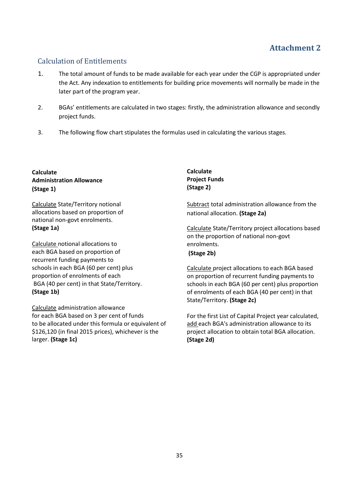# <span id="page-34-1"></span><span id="page-34-0"></span>Calculation of Entitlements

- 1. The total amount of funds to be made available for each year under the CGP is appropriated under the Act. Any indexation to entitlements for building price movements will normally be made in the later part of the program year.
- 2. BGAs' entitlements are calculated in two stages: firstly, the administration allowance and secondly project funds.
- 3. The following flow chart stipulates the formulas used in calculating the various stages.

#### **Calculate Administration Allowance (Stage 1)**

Calculate State/Territory notional allocations based on proportion of national non-govt enrolments. **(Stage 1a)**

Calculate notional allocations to each BGA based on proportion of recurrent funding payments to schools in each BGA (60 per cent) plus proportion of enrolments of each BGA (40 per cent) in that State/Territory. **(Stage 1b)**

Calculate administration allowance for each BGA based on 3 per cent of funds to be allocated under this formula or equivalent of \$126,120 (in final 2015 prices), whichever is the larger. **(Stage 1c)**

**Calculate Project Funds (Stage 2)**

Subtract total administration allowance from the national allocation. **(Stage 2a)**

Calculate State/Territory project allocations based on the proportion of national non-govt enrolments. **(Stage 2b)**

Calculate project allocations to each BGA based on proportion of recurrent funding payments to schools in each BGA (60 per cent) plus proportion of enrolments of each BGA (40 per cent) in that State/Territory. **(Stage 2c)**

For the first List of Capital Project year calculated, add each BGA's administration allowance to its project allocation to obtain total BGA allocation. **(Stage 2d)**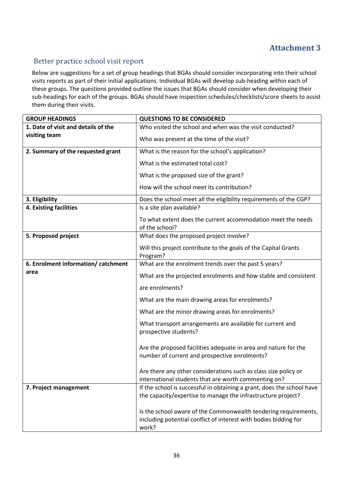# <span id="page-35-1"></span><span id="page-35-0"></span>Better practice school visit report

Below are suggestions for a set of group headings that BGAs should consider incorporating into their school visits reports as part of their initial applications. Individual BGAs will develop sub-heading within each of these groups. The questions provided outline the issues that BGAs should consider when developing their sub-headings for each of the groups. BGAs should have inspection schedules/checklists/score sheets to assist them during their visits.

| <b>GROUP HEADINGS</b>               | <b>QUESTIONS TO BE CONSIDERED</b>                                                                                                            |
|-------------------------------------|----------------------------------------------------------------------------------------------------------------------------------------------|
| 1. Date of visit and details of the | Who visited the school and when was the visit conducted?                                                                                     |
| visiting team                       | Who was present at the time of the visit?                                                                                                    |
| 2. Summary of the requested grant   | What is the reason for the school's application?                                                                                             |
|                                     | What is the estimated total cost?                                                                                                            |
|                                     | What is the proposed size of the grant?                                                                                                      |
|                                     | How will the school meet its contribution?                                                                                                   |
| 3. Eligibility                      | Does the school meet all the eligibility requirements of the CGP?                                                                            |
| 4. Existing facilities              | Is a site plan available?                                                                                                                    |
|                                     | To what extent does the current accommodation meet the needs<br>of the school?                                                               |
| 5. Proposed project                 | What does the proposed project involve?                                                                                                      |
|                                     | Will this project contribute to the goals of the Capital Grants<br>Program?                                                                  |
| 6. Enrolment information/ catchment | What are the enrolment trends over the past 5 years?                                                                                         |
| area                                | What are the projected enrolments and how stable and consistent                                                                              |
|                                     | are enrolments?                                                                                                                              |
|                                     | What are the main drawing areas for enrolments?                                                                                              |
|                                     | What are the minor drawing areas for enrolments?                                                                                             |
|                                     | What transport arrangements are available for current and<br>prospective students?                                                           |
|                                     | Are the proposed facilities adequate in area and nature for the<br>number of current and prospective enrolments?                             |
|                                     | Are there any other considerations such as class size policy or<br>international students that are worth commenting on?                      |
| 7. Project management               | If the school is successful in obtaining a grant, does the school have<br>the capacity/expertise to manage the infrastructure project?       |
|                                     | Is the school aware of the Commonwealth tendering requirements,<br>including potential conflict of interest with bodies bidding for<br>work? |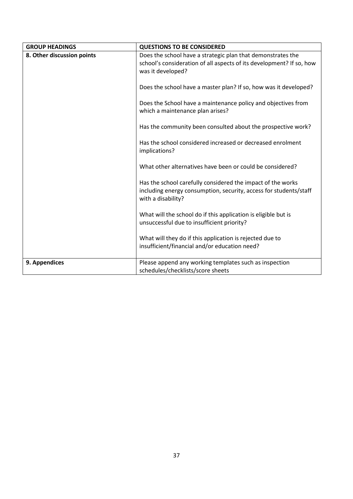| <b>GROUP HEADINGS</b>      | <b>QUESTIONS TO BE CONSIDERED</b>                                                         |
|----------------------------|-------------------------------------------------------------------------------------------|
| 8. Other discussion points | Does the school have a strategic plan that demonstrates the                               |
|                            | school's consideration of all aspects of its development? If so, how<br>was it developed? |
|                            |                                                                                           |
|                            | Does the school have a master plan? If so, how was it developed?                          |
|                            | Does the School have a maintenance policy and objectives from                             |
|                            | which a maintenance plan arises?                                                          |
|                            | Has the community been consulted about the prospective work?                              |
|                            | Has the school considered increased or decreased enrolment                                |
|                            | implications?                                                                             |
|                            | What other alternatives have been or could be considered?                                 |
|                            |                                                                                           |
|                            | Has the school carefully considered the impact of the works                               |
|                            | including energy consumption, security, access for students/staff<br>with a disability?   |
|                            |                                                                                           |
|                            | What will the school do if this application is eligible but is                            |
|                            | unsuccessful due to insufficient priority?                                                |
|                            | What will they do if this application is rejected due to                                  |
|                            | insufficient/financial and/or education need?                                             |
| 9. Appendices              | Please append any working templates such as inspection                                    |
|                            | schedules/checklists/score sheets                                                         |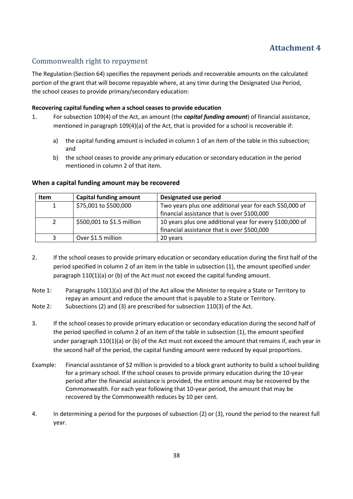# <span id="page-37-1"></span><span id="page-37-0"></span>Commonwealth right to repayment

The Regulation (Section 64) specifies the repayment periods and recoverable amounts on the calculated portion of the grant that will become repayable where, at any time during the Designated Use Period, the school ceases to provide primary/secondary education:

#### **Recovering capital funding when a school ceases to provide education**

- 1. For subsection 109(4) of the Act, an amount (the *capital funding amount*) of financial assistance, mentioned in paragraph 109(4)(a) of the Act, that is provided for a school is recoverable if:
	- a) the capital funding amount is included in column 1 of an item of the table in this subsection; and
	- b) the school ceases to provide any primary education or secondary education in the period mentioned in column 2 of that item.

#### **When a capital funding amount may be recovered**

| <b>Item</b> | <b>Capital funding amount</b> | Designated use period                                    |
|-------------|-------------------------------|----------------------------------------------------------|
|             | \$75,001 to \$500,000         | Two years plus one additional year for each \$50,000 of  |
|             |                               | financial assistance that is over \$100,000              |
|             | \$500,001 to \$1.5 million    | 10 years plus one additional year for every \$100,000 of |
|             |                               | financial assistance that is over \$500,000              |
|             | Over \$1.5 million            | 20 years                                                 |

- 2. If the school ceases to provide primary education or secondary education during the first half of the period specified in column 2 of an item in the table in subsection (1), the amount specified under paragraph 110(1)(a) or (b) of the Act must not exceed the capital funding amount.
- Note 1: Paragraphs 110(1)(a) and (b) of the Act allow the Minister to require a State or Territory to repay an amount and reduce the amount that is payable to a State or Territory.
- Note 2: Subsections (2) and (3) are prescribed for subsection 110(3) of the Act.
- 3. If the school ceases to provide primary education or secondary education during the second half of the period specified in column 2 of an item of the table in subsection (1), the amount specified under paragraph 110(1)(a) or (b) of the Act must not exceed the amount that remains if, each year in the second half of the period, the capital funding amount were reduced by equal proportions.
- Example: Financial assistance of \$2 million is provided to a block grant authority to build a school building for a primary school. If the school ceases to provide primary education during the 10-year period after the financial assistance is provided, the entire amount may be recovered by the Commonwealth. For each year following that 10-year period, the amount that may be recovered by the Commonwealth reduces by 10 per cent.
- 4. In determining a period for the purposes of subsection (2) or (3), round the period to the nearest full year.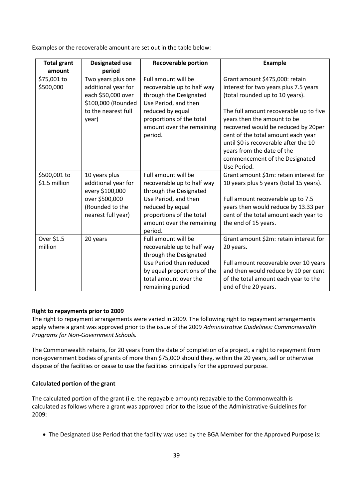| Examples or the recoverable amount are set out in the table below: |
|--------------------------------------------------------------------|
|--------------------------------------------------------------------|

| <b>Total grant</b><br>amount  | <b>Designated use</b><br>period                                                                                       | <b>Recoverable portion</b>                                                                                                                                                                  | <b>Example</b>                                                                                                                                                                                                                                                                                                                                                                           |
|-------------------------------|-----------------------------------------------------------------------------------------------------------------------|---------------------------------------------------------------------------------------------------------------------------------------------------------------------------------------------|------------------------------------------------------------------------------------------------------------------------------------------------------------------------------------------------------------------------------------------------------------------------------------------------------------------------------------------------------------------------------------------|
| \$75,001 to<br>\$500,000      | Two years plus one<br>additional year for<br>each \$50,000 over<br>\$100,000 (Rounded<br>to the nearest full<br>year) | Full amount will be<br>recoverable up to half way<br>through the Designated<br>Use Period, and then<br>reduced by equal<br>proportions of the total<br>amount over the remaining<br>period. | Grant amount \$475,000: retain<br>interest for two years plus 7.5 years<br>(total rounded up to 10 years).<br>The full amount recoverable up to five<br>years then the amount to be<br>recovered would be reduced by 20per<br>cent of the total amount each year<br>until \$0 is recoverable after the 10<br>years from the date of the<br>commencement of the Designated<br>Use Period. |
| \$500,001 to<br>\$1.5 million | 10 years plus<br>additional year for<br>every \$100,000<br>over \$500,000<br>(Rounded to the<br>nearest full year)    | Full amount will be<br>recoverable up to half way<br>through the Designated<br>Use Period, and then<br>reduced by equal<br>proportions of the total<br>amount over the remaining<br>period. | Grant amount \$1m: retain interest for<br>10 years plus 5 years (total 15 years).<br>Full amount recoverable up to 7.5<br>years then would reduce by 13.33 per<br>cent of the total amount each year to<br>the end of 15 years.                                                                                                                                                          |
| Over \$1.5<br>million         | 20 years                                                                                                              | Full amount will be<br>recoverable up to half way<br>through the Designated<br>Use Period then reduced<br>by equal proportions of the<br>total amount over the<br>remaining period.         | Grant amount \$2m: retain interest for<br>20 years.<br>Full amount recoverable over 10 years<br>and then would reduce by 10 per cent<br>of the total amount each year to the<br>end of the 20 years.                                                                                                                                                                                     |

#### **Right to repayments prior to 2009**

The right to repayment arrangements were varied in 2009. The following right to repayment arrangements apply where a grant was approved prior to the issue of the 2009 *Administrative Guidelines: Commonwealth Programs for Non-Government Schools.*

The Commonwealth retains, for 20 years from the date of completion of a project, a right to repayment from non-government bodies of grants of more than \$75,000 should they, within the 20 years, sell or otherwise dispose of the facilities or cease to use the facilities principally for the approved purpose.

#### **Calculated portion of the grant**

The calculated portion of the grant (i.e. the repayable amount) repayable to the Commonwealth is calculated as follows where a grant was approved prior to the issue of the Administrative Guidelines for 2009:

• The Designated Use Period that the facility was used by the BGA Member for the Approved Purpose is: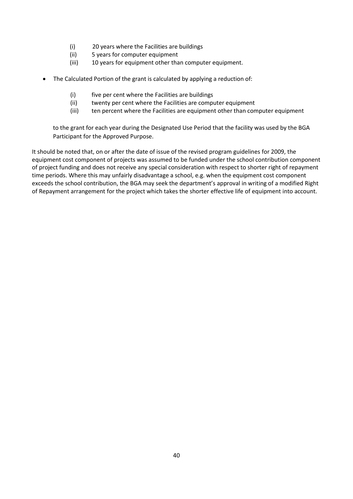- (i) 20 years where the Facilities are buildings
- (ii) 5 years for computer equipment
- (iii) 10 years for equipment other than computer equipment.
- The Calculated Portion of the grant is calculated by applying a reduction of:
	- (i) five per cent where the Facilities are buildings
	- (ii) twenty per cent where the Facilities are computer equipment
	- (iii) ten percent where the Facilities are equipment other than computer equipment

to the grant for each year during the Designated Use Period that the facility was used by the BGA Participant for the Approved Purpose.

It should be noted that, on or after the date of issue of the revised program guidelines for 2009, the equipment cost component of projects was assumed to be funded under the school contribution component of project funding and does not receive any special consideration with respect to shorter right of repayment time periods. Where this may unfairly disadvantage a school, e.g. when the equipment cost component exceeds the school contribution, the BGA may seek the department's approval in writing of a modified Right of Repayment arrangement for the project which takes the shorter effective life of equipment into account.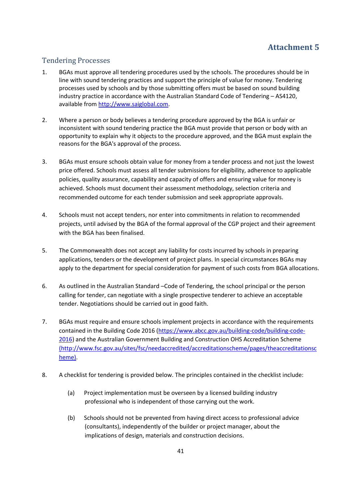# <span id="page-40-1"></span><span id="page-40-0"></span>Tendering Processes

- 1. BGAs must approve all tendering procedures used by the schools. The procedures should be in line with sound tendering practices and support the principle of value for money. Tendering processes used by schools and by those submitting offers must be based on sound building industry practice in accordance with the Australian Standard Code of Tendering – AS4120, available from [http://www.saiglobal.com.](http://www.saiglobal.com/)
- 2. Where a person or body believes a tendering procedure approved by the BGA is unfair or inconsistent with sound tendering practice the BGA must provide that person or body with an opportunity to explain why it objects to the procedure approved, and the BGA must explain the reasons for the BGA's approval of the process.
- 3. BGAs must ensure schools obtain value for money from a tender process and not just the lowest price offered. Schools must assess all tender submissions for eligibility, adherence to applicable policies, quality assurance, capability and capacity of offers and ensuring value for money is achieved. Schools must document their assessment methodology, selection criteria and recommended outcome for each tender submission and seek appropriate approvals.
- 4. Schools must not accept tenders, nor enter into commitments in relation to recommended projects, until advised by the BGA of the formal approval of the CGP project and their agreement with the BGA has been finalised.
- 5. The Commonwealth does not accept any liability for costs incurred by schools in preparing applications, tenders or the development of project plans. In special circumstances BGAs may apply to the department for special consideration for payment of such costs from BGA allocations.
- 6. As outlined in the Australian Standard –Code of Tendering, the school principal or the person calling for tender, can negotiate with a single prospective tenderer to achieve an acceptable tender. Negotiations should be carried out in good faith.
- 7. BGAs must require and ensure schools implement projects in accordance with the requirements contained in the Building Code 2016 (https://www.abcc.gov.au/building-code/building-code-2016) and the Australian Government Building and Construction OHS Accreditation Scheme [\(http://www.fsc.gov.au/sites/fsc/needaccredited/accreditationscheme/pages/theaccreditationsc](http://www.fsc.gov.au/sites/fsc/needaccredited/accreditationscheme/pages/theaccreditationscheme) [heme\)](http://www.fsc.gov.au/sites/fsc/needaccredited/accreditationscheme/pages/theaccreditationscheme).
- 8. A checklist for tendering is provided below. The principles contained in the checklist include:
	- (a) Project implementation must be overseen by a licensed building industry professional who is independent of those carrying out the work.
	- (b) Schools should not be prevented from having direct access to professional advice (consultants), independently of the builder or project manager, about the implications of design, materials and construction decisions.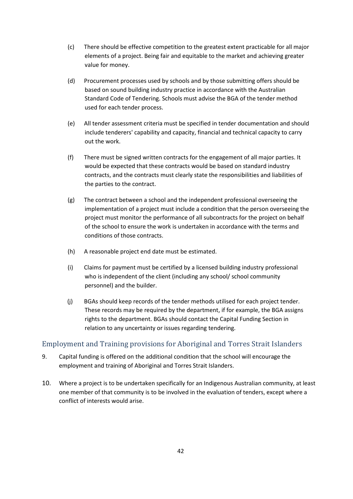- (c) There should be effective competition to the greatest extent practicable for all major elements of a project. Being fair and equitable to the market and achieving greater value for money.
- (d) Procurement processes used by schools and by those submitting offers should be based on sound building industry practice in accordance with the Australian Standard Code of Tendering. Schools must advise the BGA of the tender method used for each tender process.
- (e) All tender assessment criteria must be specified in tender documentation and should include tenderers' capability and capacity, financial and technical capacity to carry out the work.
- (f) There must be signed written contracts for the engagement of all major parties. It would be expected that these contracts would be based on standard industry contracts, and the contracts must clearly state the responsibilities and liabilities of the parties to the contract.
- (g) The contract between a school and the independent professional overseeing the implementation of a project must include a condition that the person overseeing the project must monitor the performance of all subcontracts for the project on behalf of the school to ensure the work is undertaken in accordance with the terms and conditions of those contracts.
- (h) A reasonable project end date must be estimated.
- (i) Claims for payment must be certified by a licensed building industry professional who is independent of the client (including any school/ school community personnel) and the builder.
- (j) BGAs should keep records of the tender methods utilised for each project tender. These records may be required by the department, if for example, the BGA assigns rights to the department. BGAs should contact the Capital Funding Section in relation to any uncertainty or issues regarding tendering.

## <span id="page-41-0"></span>Employment and Training provisions for Aboriginal and Torres Strait Islanders

- 9. Capital funding is offered on the additional condition that the school will encourage the employment and training of Aboriginal and Torres Strait Islanders.
- 10. Where a project is to be undertaken specifically for an Indigenous Australian community, at least one member of that community is to be involved in the evaluation of tenders, except where a conflict of interests would arise.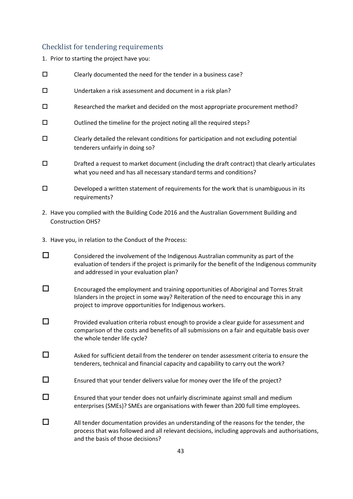# <span id="page-42-0"></span>Checklist for tendering requirements

1. Prior to starting the project have you:

| □      | Clearly documented the need for the tender in a business case?                                                                                                                                                              |
|--------|-----------------------------------------------------------------------------------------------------------------------------------------------------------------------------------------------------------------------------|
| $\Box$ | Undertaken a risk assessment and document in a risk plan?                                                                                                                                                                   |
| $\Box$ | Researched the market and decided on the most appropriate procurement method?                                                                                                                                               |
| $\Box$ | Outlined the timeline for the project noting all the required steps?                                                                                                                                                        |
| $\Box$ | Clearly detailed the relevant conditions for participation and not excluding potential<br>tenderers unfairly in doing so?                                                                                                   |
| $\Box$ | Drafted a request to market document (including the draft contract) that clearly articulates<br>what you need and has all necessary standard terms and conditions?                                                          |
| $\Box$ | Developed a written statement of requirements for the work that is unambiguous in its<br>requirements?                                                                                                                      |
|        | 2. Have you complied with the Building Code 2016 and the Australian Government Building and<br><b>Construction OHS?</b>                                                                                                     |
|        | 3. Have you, in relation to the Conduct of the Process:                                                                                                                                                                     |
| □      | Considered the involvement of the Indigenous Australian community as part of the<br>evaluation of tenders if the project is primarily for the benefit of the Indigenous community<br>and addressed in your evaluation plan? |
|        | Encouraged the employment and training opportunities of Aboriginal and Torres Strait                                                                                                                                        |

 $\square$  Provided evaluation criteria robust enough to provide a clear guide for assessment and comparison of the costs and benefits of all submissions on a fair and equitable basis over the whole tender life cycle?

Islanders in the project in some way? Reiteration of the need to encourage this in any

- $\square$  Asked for sufficient detail from the tenderer on tender assessment criteria to ensure the tenderers, technical and financial capacity and capability to carry out the work?
- $\square$  Ensured that your tender delivers value for money over the life of the project?

project to improve opportunities for Indigenous workers.

- $\square$  Ensured that your tender does not unfairly discriminate against small and medium enterprises (SMEs)? SMEs are organisations with fewer than 200 full time employees.
- $\Box$  All tender documentation provides an understanding of the reasons for the tender, the process that was followed and all relevant decisions, including approvals and authorisations, and the basis of those decisions?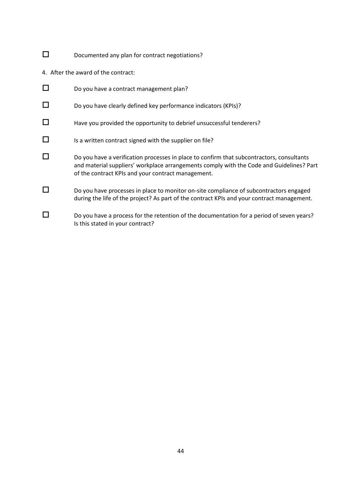- Documented any plan for contract negotiations?
- 4. After the award of the contract:

| $\Box$ | Do you have a contract management plan?                                                                                                                                                                                                     |
|--------|---------------------------------------------------------------------------------------------------------------------------------------------------------------------------------------------------------------------------------------------|
| $\Box$ | Do you have clearly defined key performance indicators (KPIs)?                                                                                                                                                                              |
| $\Box$ | Have you provided the opportunity to debrief unsuccessful tenderers?                                                                                                                                                                        |
| $\Box$ | Is a written contract signed with the supplier on file?                                                                                                                                                                                     |
| $\Box$ | Do you have a verification processes in place to confirm that subcontractors, consultants<br>and material suppliers' workplace arrangements comply with the Code and Guidelines? Part<br>of the contract KPIs and your contract management. |
| □      | Do you have processes in place to monitor on-site compliance of subcontractors engaged<br>during the life of the project? As part of the contract KPIs and your contract management.                                                        |
| □      | Do you have a process for the retention of the documentation for a period of seven years?<br>Is this stated in your contract?                                                                                                               |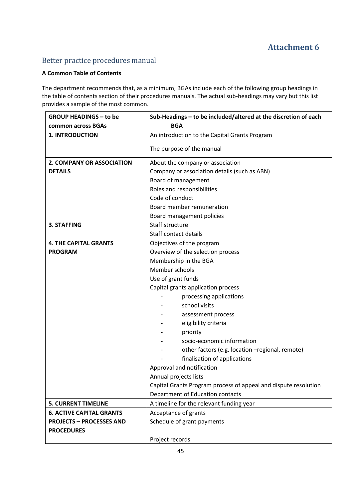# <span id="page-44-1"></span><span id="page-44-0"></span>Better practice procedures manual

# **A Common Table of Contents**

The department recommends that, as a minimum, BGAs include each of the following group headings in the table of contents section of their procedures manuals. The actual sub-headings may vary but this list provides a sample of the most common.

| <b>GROUP HEADINGS - to be</b>   | Sub-Headings - to be included/altered at the discretion of each |
|---------------------------------|-----------------------------------------------------------------|
| common across BGAs              | <b>BGA</b>                                                      |
| <b>1. INTRODUCTION</b>          | An introduction to the Capital Grants Program                   |
|                                 | The purpose of the manual                                       |
| 2. COMPANY OR ASSOCIATION       | About the company or association                                |
| <b>DETAILS</b>                  | Company or association details (such as ABN)                    |
|                                 | Board of management                                             |
|                                 | Roles and responsibilities                                      |
|                                 | Code of conduct                                                 |
|                                 | Board member remuneration                                       |
|                                 | Board management policies                                       |
| <b>3. STAFFING</b>              | Staff structure                                                 |
|                                 | <b>Staff contact details</b>                                    |
| <b>4. THE CAPITAL GRANTS</b>    | Objectives of the program                                       |
| <b>PROGRAM</b>                  | Overview of the selection process                               |
|                                 | Membership in the BGA                                           |
|                                 | Member schools                                                  |
|                                 | Use of grant funds                                              |
|                                 | Capital grants application process                              |
|                                 | processing applications                                         |
|                                 | school visits                                                   |
|                                 | assessment process                                              |
|                                 | eligibility criteria                                            |
|                                 | priority                                                        |
|                                 | socio-economic information                                      |
|                                 | other factors (e.g. location -regional, remote)                 |
|                                 | finalisation of applications                                    |
|                                 | Approval and notification                                       |
|                                 | Annual projects lists                                           |
|                                 | Capital Grants Program process of appeal and dispute resolution |
|                                 | Department of Education contacts                                |
| <b>5. CURRENT TIMELINE</b>      | A timeline for the relevant funding year                        |
| <b>6. ACTIVE CAPITAL GRANTS</b> | Acceptance of grants                                            |
| <b>PROJECTS - PROCESSES AND</b> | Schedule of grant payments                                      |
| <b>PROCEDURES</b>               |                                                                 |
|                                 | Project records                                                 |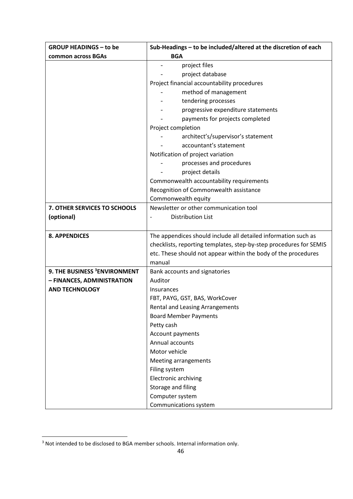| <b>GROUP HEADINGS - to be</b>            | Sub-Headings - to be included/altered at the discretion of each    |
|------------------------------------------|--------------------------------------------------------------------|
| common across BGAs                       | <b>BGA</b>                                                         |
|                                          | project files                                                      |
|                                          | project database                                                   |
|                                          | Project financial accountability procedures                        |
|                                          | method of management                                               |
|                                          | tendering processes                                                |
|                                          | progressive expenditure statements                                 |
|                                          | payments for projects completed                                    |
|                                          | Project completion                                                 |
|                                          | architect's/supervisor's statement                                 |
|                                          | accountant's statement                                             |
|                                          | Notification of project variation                                  |
|                                          | processes and procedures                                           |
|                                          | project details                                                    |
|                                          | Commonwealth accountability requirements                           |
|                                          | Recognition of Commonwealth assistance                             |
|                                          | Commonwealth equity                                                |
| 7. OTHER SERVICES TO SCHOOLS             | Newsletter or other communication tool                             |
| (optional)                               | <b>Distribution List</b>                                           |
|                                          |                                                                    |
| <b>8. APPENDICES</b>                     | The appendices should include all detailed information such as     |
|                                          | checklists, reporting templates, step-by-step procedures for SEMIS |
|                                          | etc. These should not appear within the body of the procedures     |
|                                          | manual                                                             |
| 9. THE BUSINESS <sup>3</sup> ENVIRONMENT | Bank accounts and signatories                                      |
| - FINANCES, ADMINISTRATION               | Auditor                                                            |
| <b>AND TECHNOLOGY</b>                    | Insurances                                                         |
|                                          | FBT, PAYG, GST, BAS, WorkCover                                     |
|                                          | Rental and Leasing Arrangements                                    |
|                                          | <b>Board Member Payments</b>                                       |
|                                          | Petty cash                                                         |
|                                          | Account payments                                                   |
|                                          | Annual accounts                                                    |
|                                          | Motor vehicle                                                      |
|                                          | Meeting arrangements                                               |
|                                          | Filing system                                                      |
|                                          | Electronic archiving                                               |
|                                          | Storage and filing                                                 |
|                                          | Computer system                                                    |
|                                          | Communications system                                              |

<sup>&</sup>lt;sup>3</sup> Not intended to be disclosed to BGA member schools. Internal information only.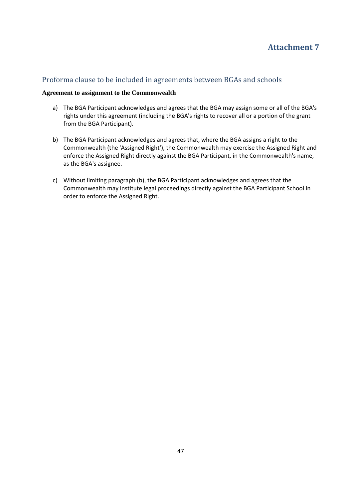# <span id="page-46-1"></span><span id="page-46-0"></span>Proforma clause to be included in agreements between BGAs and schools

#### **Agreement to assignment to the Commonwealth**

- a) The BGA Participant acknowledges and agrees that the BGA may assign some or all of the BGA's rights under this agreement (including the BGA's rights to recover all or a portion of the grant from the BGA Participant).
- b) The BGA Participant acknowledges and agrees that, where the BGA assigns a right to the Commonwealth (the 'Assigned Right'), the Commonwealth may exercise the Assigned Right and enforce the Assigned Right directly against the BGA Participant, in the Commonwealth's name, as the BGA's assignee.
- c) Without limiting paragraph (b), the BGA Participant acknowledges and agrees that the Commonwealth may institute legal proceedings directly against the BGA Participant School in order to enforce the Assigned Right.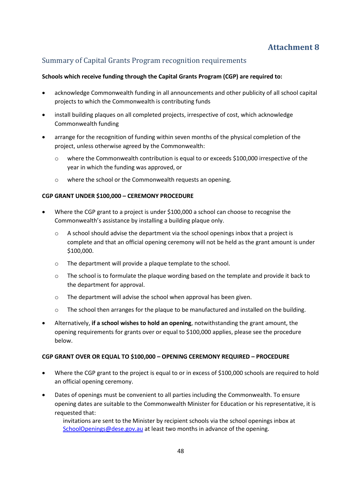# <span id="page-47-1"></span><span id="page-47-0"></span>Summary of Capital Grants Program recognition requirements

#### **Schools which receive funding through the Capital Grants Program (CGP) are required to:**

- acknowledge Commonwealth funding in all announcements and other publicity of all school capital projects to which the Commonwealth is contributing funds
- install building plaques on all completed projects, irrespective of cost, which acknowledge Commonwealth funding
- arrange for the recognition of funding within seven months of the physical completion of the project, unless otherwise agreed by the Commonwealth:
	- o where the Commonwealth contribution is equal to or exceeds \$100,000 irrespective of the year in which the funding was approved, or
	- o where the school or the Commonwealth requests an opening.

#### **CGP GRANT UNDER \$100,000 – CEREMONY PROCEDURE**

- Where the CGP grant to a project is under \$100,000 a school can choose to recognise the Commonwealth's assistance by installing a building plaque only.
	- o A school should advise the department via the school openings inbox that a project is complete and that an official opening ceremony will not be held as the grant amount is under \$100,000.
	- o The department will provide a plaque template to the school.
	- $\circ$  The school is to formulate the plaque wording based on the template and provide it back to the department for approval.
	- o The department will advise the school when approval has been given.
	- o The school then arranges for the plaque to be manufactured and installed on the building.
- Alternatively, **if a school wishes to hold an opening**, notwithstanding the grant amount, the opening requirements for grants over or equal to \$100,000 applies, please see the procedure below.

#### **CGP GRANT OVER OR EQUAL TO \$100,000 – OPENING CEREMONY REQUIRED – PROCEDURE**

- Where the CGP grant to the project is equal to or in excess of \$100,000 schools are required to hold an official opening ceremony.
- Dates of openings must be convenient to all parties including the Commonwealth. To ensure opening dates are suitable to the Commonwealth Minister for Education or his representative, it is requested that:

invitations are sent to the Minister by recipient schools via the school openings inbox at [SchoolOpenings@dese.gov.au](mailto:SchoolOpenings@dese.gov.au) at least two months in advance of the opening.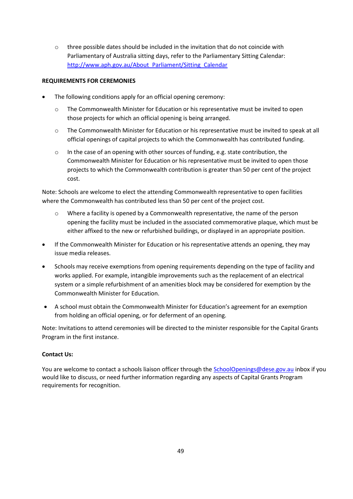o three possible dates should be included in the invitation that do not coincide with Parliamentary of Australia sitting days, refer to the Parliamentary Sitting Calendar: [http://www.aph.gov.au/About\\_Parliament/Sitting\\_Calendar](http://www.aph.gov.au/About_Parliament/Sitting_Calendar)

#### **REQUIREMENTS FOR CEREMONIES**

- The following conditions apply for an official opening ceremony:
	- o The Commonwealth Minister for Education or his representative must be invited to open those projects for which an official opening is being arranged.
	- o The Commonwealth Minister for Education or his representative must be invited to speak at all official openings of capital projects to which the Commonwealth has contributed funding.
	- o In the case of an opening with other sources of funding, e.g. state contribution, the Commonwealth Minister for Education or his representative must be invited to open those projects to which the Commonwealth contribution is greater than 50 per cent of the project cost.

Note: Schools are welcome to elect the attending Commonwealth representative to open facilities where the Commonwealth has contributed less than 50 per cent of the project cost.

- o Where a facility is opened by a Commonwealth representative, the name of the person opening the facility must be included in the associated commemorative plaque, which must be either affixed to the new or refurbished buildings, or displayed in an appropriate position.
- If the Commonwealth Minister for Education or his representative attends an opening, they may issue media releases.
- Schools may receive exemptions from opening requirements depending on the type of facility and works applied. For example, intangible improvements such as the replacement of an electrical system or a simple refurbishment of an amenities block may be considered for exemption by the Commonwealth Minister for Education.
- A school must obtain the Commonwealth Minister for Education's agreement for an exemption from holding an official opening, or for deferment of an opening.

Note: Invitations to attend ceremonies will be directed to the minister responsible for the Capital Grants Program in the first instance.

#### **Contact Us:**

You are welcome to contact a schools liaison officer through the [SchoolOpenings@dese.gov.au](mailto:SchoolOpenings@dese.gov.au) inbox if you would like to discuss, or need further information regarding any aspects of Capital Grants Program requirements for recognition.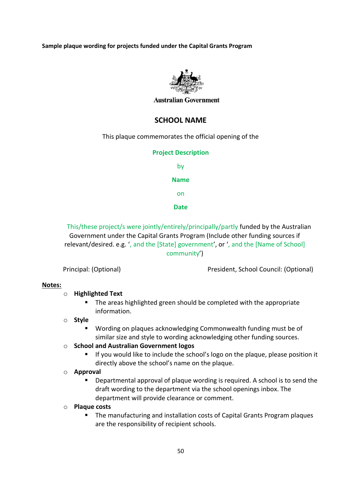**Sample plaque wording for projects funded under the Capital Grants Program**



#### **Australian Government**

# **SCHOOL NAME**

This plaque commemorates the official opening of the

#### **Project Description**

by **Name** on

**Date**

This/these project/s were jointly/entirely/principally/partly funded by the Australian Government under the Capital Grants Program (Include other funding sources if relevant/desired. e.g. ', and the [State] government', or ', and the [Name of School] community')

Principal: (Optional) President, School Council: (Optional)

#### **Notes:**

#### o **Highlighted Text**

■ The areas highlighted green should be completed with the appropriate information.

### o **Style**

- Wording on plaques acknowledging Commonwealth funding must be of similar size and style to wording acknowledging other funding sources.
- o **School and Australian Government logos**
	- **EXT** If you would like to include the school's logo on the plaque, please position it directly above the school's name on the plaque.

#### o **Approval**

▪ Departmental approval of plaque wording is required. A school is to send the draft wording to the department via the school openings inbox. The department will provide clearance or comment.

#### o **Plaque costs**

■ The manufacturing and installation costs of Capital Grants Program plaques are the responsibility of recipient schools.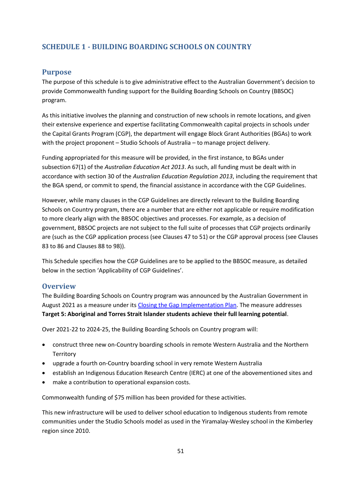# <span id="page-50-0"></span>**SCHEDULE 1 - BUILDING BOARDING SCHOOLS ON COUNTRY**

### <span id="page-50-1"></span>**Purpose**

The purpose of this schedule is to give administrative effect to the Australian Government's decision to provide Commonwealth funding support for the Building Boarding Schools on Country (BBSOC) program.

As this initiative involves the planning and construction of new schools in remote locations, and given their extensive experience and expertise facilitating Commonwealth capital projects in schools under the Capital Grants Program (CGP), the department will engage Block Grant Authorities (BGAs) to work with the project proponent – Studio Schools of Australia – to manage project delivery.

Funding appropriated for this measure will be provided, in the first instance, to BGAs under subsection 67(1) of the *Australian Education Act 2013*. As such, all funding must be dealt with in accordance with section 30 of the *Australian Education Regulation 2013*, including the requirement that the BGA spend, or commit to spend, the financial assistance in accordance with the CGP Guidelines.

However, while many clauses in the CGP Guidelines are directly relevant to the Building Boarding Schools on Country program, there are a number that are either not applicable or require modification to more clearly align with the BBSOC objectives and processes. For example, as a decision of government, BBSOC projects are not subject to the full suite of processes that CGP projects ordinarily are (such as the CGP application process (see Clauses 47 to 51) or the CGP approval process (see Clauses 83 to 86 and Clauses 88 to 98)).

This Schedule specifies how the CGP Guidelines are to be applied to the BBSOC measure, as detailed below in the section 'Applicability of CGP Guidelines'.

#### <span id="page-50-2"></span>**Overview**

The Building Boarding Schools on Country program was announced by the Australian Government in August 2021 as a measure under it[s Closing the Gap Implementation Plan.](https://www.niaa.gov.au/resource-centre/indigenous-affairs/closing-gap-implementation-plan) The measure addresses **Target 5: Aboriginal and Torres Strait Islander students achieve their full learning potential**.

Over 2021-22 to 2024-25, the Building Boarding Schools on Country program will:

- construct three new on-Country boarding schools in remote Western Australia and the Northern **Territory**
- upgrade a fourth on-Country boarding school in very remote Western Australia
- establish an Indigenous Education Research Centre (IERC) at one of the abovementioned sites and
- make a contribution to operational expansion costs.

Commonwealth funding of \$75 million has been provided for these activities.

This new infrastructure will be used to deliver school education to Indigenous students from remote communities under the Studio Schools model as used in the Yiramalay-Wesley school in the Kimberley region since 2010.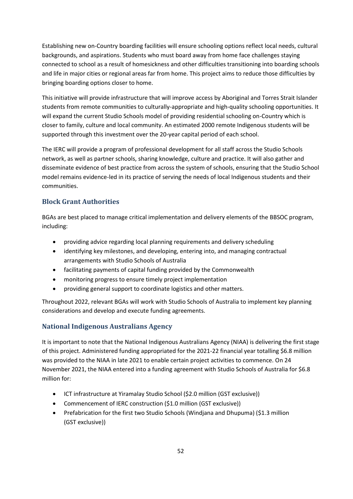Establishing new on-Country boarding facilities will ensure schooling options reflect local needs, cultural backgrounds, and aspirations. Students who must board away from home face challenges staying connected to school as a result of homesickness and other difficulties transitioning into boarding schools and life in major cities or regional areas far from home. This project aims to reduce those difficulties by bringing boarding options closer to home.

This initiative will provide infrastructure that will improve access by Aboriginal and Torres Strait Islander students from remote communities to culturally-appropriate and high-quality schooling opportunities. It will expand the current Studio Schools model of providing residential schooling on-Country which is closer to family, culture and local community. An estimated 2000 remote Indigenous students will be supported through this investment over the 20-year capital period of each school.

The IERC will provide a program of professional development for all staff across the Studio Schools network, as well as partner schools, sharing knowledge, culture and practice. It will also gather and disseminate evidence of best practice from across the system of schools, ensuring that the Studio School model remains evidence-led in its practice of serving the needs of local Indigenous students and their communities.

# **Block Grant Authorities**

BGAs are best placed to manage critical implementation and delivery elements of the BBSOC program, including:

- providing advice regarding local planning requirements and delivery scheduling
- identifying key milestones, and developing, entering into, and managing contractual arrangements with Studio Schools of Australia
- facilitating payments of capital funding provided by the Commonwealth
- monitoring progress to ensure timely project implementation
- providing general support to coordinate logistics and other matters.

Throughout 2022, relevant BGAs will work with Studio Schools of Australia to implement key planning considerations and develop and execute funding agreements.

# **National Indigenous Australians Agency**

It is important to note that the National Indigenous Australians Agency (NIAA) is delivering the first stage of this project. Administered funding appropriated for the 2021-22 financial year totalling \$6.8 million was provided to the NIAA in late 2021 to enable certain project activities to commence. On 24 November 2021, the NIAA entered into a funding agreement with Studio Schools of Australia for \$6.8 million for:

- ICT infrastructure at Yiramalay Studio School (\$2.0 million (GST exclusive))
- Commencement of IERC construction (\$1.0 million (GST exclusive))
- Prefabrication for the first two Studio Schools (Windjana and Dhupuma) (\$1.3 million (GST exclusive))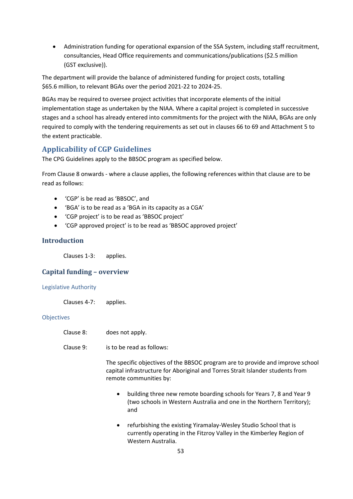• Administration funding for operational expansion of the SSA System, including staff recruitment, consultancies, Head Office requirements and communications/publications (\$2.5 million (GST exclusive)).

The department will provide the balance of administered funding for project costs, totalling \$65.6 million, to relevant BGAs over the period 2021-22 to 2024-25.

BGAs may be required to oversee project activities that incorporate elements of the initial implementation stage as undertaken by the NIAA. Where a capital project is completed in successive stages and a school has already entered into commitments for the project with the NIAA, BGAs are only required to comply with the tendering requirements as set out in clauses 66 to 69 and Attachment 5 to the extent practicable.

# <span id="page-52-0"></span>**Applicability of CGP Guidelines**

The CPG Guidelines apply to the BBSOC program as specified below.

From Clause 8 onwards - where a clause applies, the following references within that clause are to be read as follows:

- 'CGP' is be read as 'BBSOC', and
- 'BGA' is to be read as a 'BGA in its capacity as a CGA'
- 'CGP project' is to be read as 'BBSOC project'
- 'CGP approved project' is to be read as 'BBSOC approved project'

# **Introduction**

Clauses 1-3: applies.

# **Capital funding – overview**

#### Legislative Authority

Clauses 4-7: applies.

#### **Objectives**

- Clause 8: does not apply.
- Clause 9: is to be read as follows:

The specific objectives of the BBSOC program are to provide and improve school capital infrastructure for Aboriginal and Torres Strait Islander students from remote communities by:

- building three new remote boarding schools for Years 7, 8 and Year 9 (two schools in Western Australia and one in the Northern Territory); and
- refurbishing the existing Yiramalay-Wesley Studio School that is currently operating in the Fitzroy Valley in the Kimberley Region of Western Australia.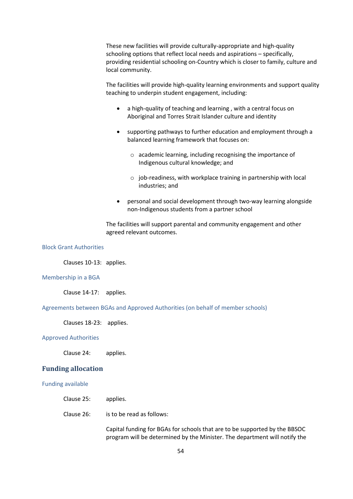These new facilities will provide culturally-appropriate and high-quality schooling options that reflect local needs and aspirations – specifically, providing residential schooling on-Country which is closer to family, culture and local community.

The facilities will provide high-quality learning environments and support quality teaching to underpin student engagement, including:

- a high-quality of teaching and learning , with a central focus on Aboriginal and Torres Strait Islander culture and identity
- supporting pathways to further education and employment through a balanced learning framework that focuses on:
	- o academic learning, including recognising the importance of Indigenous cultural knowledge; and
	- o job-readiness, with workplace training in partnership with local industries; and
- personal and social development through two-way learning alongside non-Indigenous students from a partner school

The facilities will support parental and community engagement and other agreed relevant outcomes.

Block Grant Authorities

Clauses 10-13: applies.

Membership in a BGA

Clause 14-17: applies.

Agreements between BGAs and Approved Authorities (on behalf of member schools)

Clauses 18-23: applies.

#### Approved Authorities

Clause 24: applies.

#### **Funding allocation**

Funding available

- Clause 25: applies.
- Clause 26: is to be read as follows:

Capital funding for BGAs for schools that are to be supported by the BBSOC program will be determined by the Minister. The department will notify the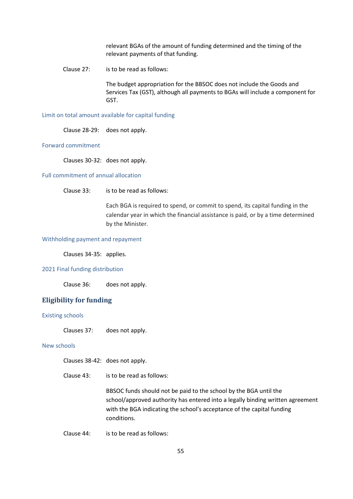relevant BGAs of the amount of funding determined and the timing of the relevant payments of that funding.

Clause 27: is to be read as follows:

The budget appropriation for the BBSOC does not include the Goods and Services Tax (GST), although all payments to BGAs will include a component for GST.

Limit on total amount available for capital funding

Clause 28-29: does not apply.

#### Forward commitment

Clauses 30-32: does not apply.

#### Full commitment of annual allocation

Clause 33: is to be read as follows:

Each BGA is required to spend, or commit to spend, its capital funding in the calendar year in which the financial assistance is paid, or by a time determined by the Minister.

#### Withholding payment and repayment

Clauses 34-35: applies.

#### 2021 Final funding distribution

Clause 36: does not apply.

#### **Eligibility for funding**

#### Existing schools

Clauses 37: does not apply.

#### New schools

Clauses 38-42: does not apply.

Clause 43: is to be read as follows:

BBSOC funds should not be paid to the school by the BGA until the school/approved authority has entered into a legally binding written agreement with the BGA indicating the school's acceptance of the capital funding conditions.

Clause 44: is to be read as follows: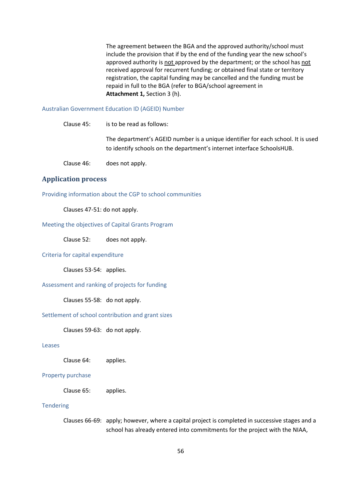The agreement between the BGA and the approved authority/school must include the provision that if by the end of the funding year the new school's approved authority is not approved by the department; or the school has not received approval for recurrent funding; or obtained final state or territory registration, the capital funding may be cancelled and the funding must be repaid in full to the BGA (refer to BGA/school agreement in **Attachment 1,** Section 3 (h).

#### Australian Government Education ID (AGEID) Number

| Clause 45: | is to be read as follows:                                                                                                                                  |
|------------|------------------------------------------------------------------------------------------------------------------------------------------------------------|
|            | The department's AGEID number is a unique identifier for each school. It is used<br>to identify schools on the department's internet interface SchoolsHUB. |
| Clause 46: | does not apply.                                                                                                                                            |

#### **Application process**

Providing information about the CGP to school communities

Clauses 47-51: do not apply.

## Meeting the objectives of Capital Grants Program

Clause 52: does not apply.

#### Criteria for capital expenditure

Clauses 53-54: applies.

Assessment and ranking of projects for funding

Clauses 55-58: do not apply.

#### Settlement of school contribution and grant sizes

Clauses 59-63: do not apply.

#### Leases

Clause 64: applies.

#### Property purchase

Clause 65: applies.

#### **Tendering**

Clauses 66-69: apply; however, where a capital project is completed in successive stages and a school has already entered into commitments for the project with the NIAA,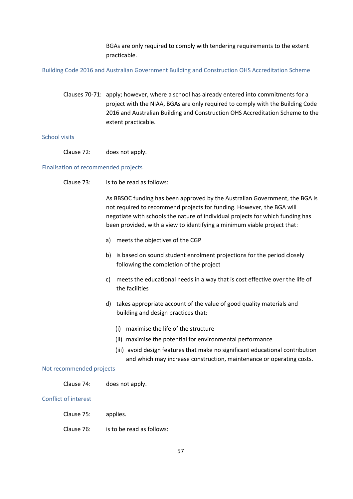BGAs are only required to comply with tendering requirements to the extent practicable.

Building Code 2016 and Australian Government Building and Construction OHS Accreditation Scheme

Clauses 70-71: apply; however, where a school has already entered into commitments for a project with the NIAA, BGAs are only required to comply with the Building Code 2016 and Australian Building and Construction OHS Accreditation Scheme to the extent practicable.

#### School visits

Clause 72: does not apply.

#### Finalisation of recommended projects

Clause 73: is to be read as follows:

As BBSOC funding has been approved by the Australian Government, the BGA is not required to recommend projects for funding. However, the BGA will negotiate with schools the nature of individual projects for which funding has been provided, with a view to identifying a minimum viable project that:

- a) meets the objectives of the CGP
- b) is based on sound student enrolment projections for the period closely following the completion of the project
- c) meets the educational needs in a way that is cost effective over the life of the facilities
- d) takes appropriate account of the value of good quality materials and building and design practices that:
	- (i) maximise the life of the structure
	- (ii) maximise the potential for environmental performance
	- (iii) avoid design features that make no significant educational contribution and which may increase construction, maintenance or operating costs.

#### Not recommended projects

Clause 74: does not apply.

#### Conflict of interest

- Clause 75: applies.
- Clause 76: is to be read as follows: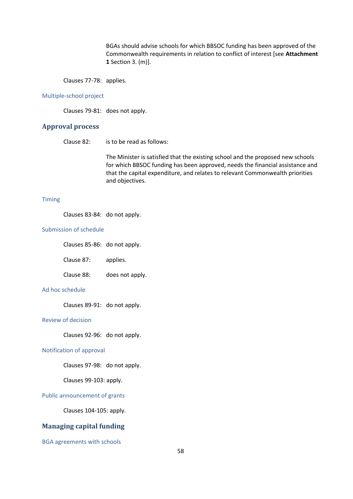BGAs should advise schools for which BBSOC funding has been approved of the Commonwealth requirements in relation to conflict of interest [see **Attachment 1** Section 3. (m)].

Clauses 77-78: applies.

#### Multiple-school project

Clauses 79-81: does not apply.

# **Approval process**

Clause 82: is to be read as follows:

The Minister is satisfied that the existing school and the proposed new schools for which BBSOC funding has been approved, needs the financial assistance and that the capital expenditure, and relates to relevant Commonwealth priorities and objectives.

#### Timing

Clauses 83-84: do not apply.

#### Submission of schedule

Clauses 85-86: do not apply.

Clause 87: applies.

Clause 88: does not apply.

#### Ad hoc schedule

Clauses 89-91: do not apply.

#### Review of decision

Clauses 92-96: do not apply.

#### Notification of approval

Clauses 97-98: do not apply.

Clauses 99-103: apply.

#### Public announcement of grants

Clauses 104-105: apply.

# **Managing capital funding**

BGA agreements with schools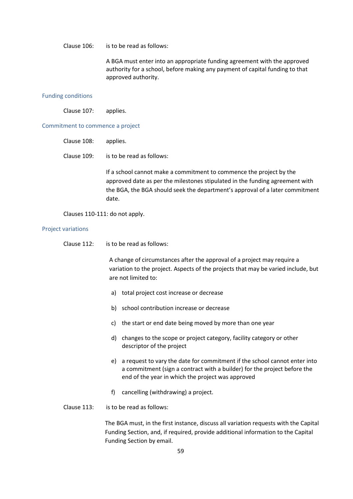Clause 106: is to be read as follows:

A BGA must enter into an appropriate funding agreement with the approved authority for a school, before making any payment of capital funding to that approved authority.

#### Funding conditions

Clause 107: applies.

#### Commitment to commence a project

| Clause 108: applies. |                                                                                                                                                     |
|----------------------|-----------------------------------------------------------------------------------------------------------------------------------------------------|
| Clause 109:          | is to be read as follows:                                                                                                                           |
|                      | If a school cannot make a commit<br>the contract of the contract of the contract of the contract of the contract of the contract of the contract of |

Iment to commence the project by the approved date as per the milestones stipulated in the funding agreement with the BGA, the BGA should seek the department's approval of a later commitment date.

Clauses 110-111: do not apply.

#### Project variations

Clause 112: is to be read as follows:

A change of circumstances after the approval of a project may require a variation to the project. Aspects of the projects that may be varied include, but are not limited to:

- a) total project cost increase or decrease
- b) school contribution increase or decrease
- c) the start or end date being moved by more than one year
- d) changes to the scope or project category, facility category or other descriptor of the project
- e) a request to vary the date for commitment if the school cannot enter into a commitment (sign a contract with a builder) for the project before the end of the year in which the project was approved
- f) cancelling (withdrawing) a project.
- Clause 113: is to be read as follows:

The BGA must, in the first instance, discuss all variation requests with the Capital Funding Section, and, if required, provide additional information to the Capital Funding Section by email.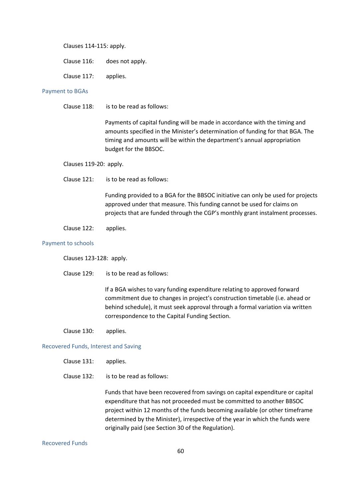Clauses 114-115: apply.

Clause 117: applies.

#### Payment to BGAs

Clause 118: is to be read as follows:

Payments of capital funding will be made in accordance with the timing and amounts specified in the Minister's determination of funding for that BGA. The timing and amounts will be within the department's annual appropriation budget for the BBSOC.

- Clauses 119-20: apply.
- Clause 121: is to be read as follows:

Funding provided to a BGA for the BBSOC initiative can only be used for projects approved under that measure. This funding cannot be used for claims on projects that are funded through the CGP's monthly grant instalment processes.

Clause 122: applies.

#### Payment to schools

Clauses 123-128: apply.

Clause 129: is to be read as follows:

If a BGA wishes to vary funding expenditure relating to approved forward commitment due to changes in project's construction timetable (i.e. ahead or behind schedule), it must seek approval through a formal variation via written correspondence to the Capital Funding Section.

Clause 130: applies.

#### Recovered Funds, Interest and Saving

- Clause 131: applies.
- Clause 132: is to be read as follows:

Funds that have been recovered from savings on capital expenditure or capital expenditure that has not proceeded must be committed to another BBSOC project within 12 months of the funds becoming available (or other timeframe determined by the Minister), irrespective of the year in which the funds were originally paid (see Section 30 of the Regulation).

#### Recovered Funds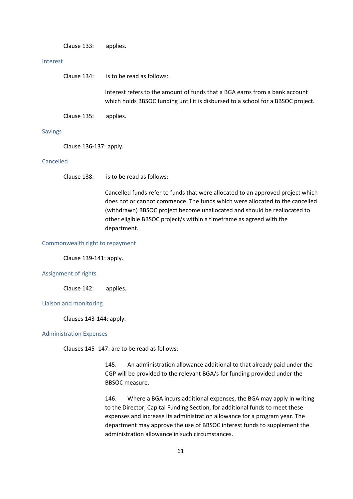Clause 133: applies.

#### Interest

| Clause 134: | is to be read as follows:    |
|-------------|------------------------------|
|             | Interest refers to the amoun |

It of funds that a BGA earns from a bank account which holds BBSOC funding until it is disbursed to a school for a BBSOC project.

Clause 135: applies.

#### Savings

Clause 136-137: apply.

#### Cancelled

Clause 138: is to be read as follows:

Cancelled funds refer to funds that were allocated to an approved project which does not or cannot commence. The funds which were allocated to the cancelled (withdrawn) BBSOC project become unallocated and should be reallocated to other eligible BBSOC project/s within a timeframe as agreed with the department.

#### Commonwealth right to repayment

Clause 139-141: apply.

#### Assignment of rights

Clause 142: applies.

#### Liaison and monitoring

Clauses 143-144: apply.

#### Administration Expenses

Clauses 145- 147: are to be read as follows:

145. An administration allowance additional to that already paid under the CGP will be provided to the relevant BGA/s for funding provided under the BBSOC measure.

146. Where a BGA incurs additional expenses, the BGA may apply in writing to the Director, Capital Funding Section, for additional funds to meet these expenses and increase its administration allowance for a program year. The department may approve the use of BBSOC interest funds to supplement the administration allowance in such circumstances.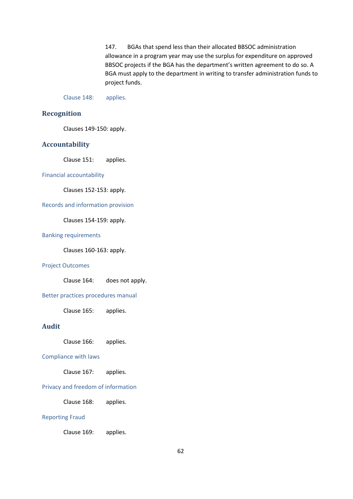147. BGAs that spend less than their allocated BBSOC administration allowance in a program year may use the surplus for expenditure on approved BBSOC projects if the BGA has the department's written agreement to do so. A BGA must apply to the department in writing to transfer administration funds to project funds.

Clause 148: applies.

### **Recognition**

Clauses 149-150: apply.

#### **Accountability**

Clause 151: applies.

#### Financial accountability

Clauses 152-153: apply.

#### Records and information provision

Clauses 154-159: apply.

#### Banking requirements

Clauses 160-163: apply.

#### Project Outcomes

Clause 164: does not apply.

#### Better practices procedures manual

Clause 165: applies.

## **Audit**

Clause 166: applies.

#### Compliance with laws

Clause 167: applies.

#### Privacy and freedom of information

Clause 168: applies.

#### Reporting Fraud

Clause 169: applies.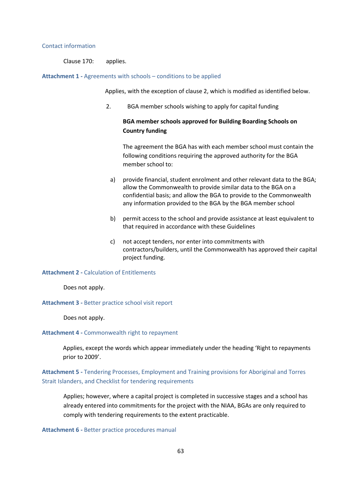#### Contact information

Clause 170: applies.

#### **Attachment 1 -** Agreements with schools – conditions to be applied

Applies, with the exception of clause 2, which is modified as identified below.

2. BGA member schools wishing to apply for capital funding

# **BGA member schools approved for Building Boarding Schools on Country funding**

The agreement the BGA has with each member school must contain the following conditions requiring the approved authority for the BGA member school to:

- a) provide financial, student enrolment and other relevant data to the BGA; allow the Commonwealth to provide similar data to the BGA on a confidential basis; and allow the BGA to provide to the Commonwealth any information provided to the BGA by the BGA member school
- b) permit access to the school and provide assistance at least equivalent to that required in accordance with these Guidelines
- c) not accept tenders, nor enter into commitments with contractors/builders, until the Commonwealth has approved their capital project funding.

#### **Attachment 2 -** Calculation of Entitlements

Does not apply.

**Attachment 3 -** Better practice school visit report

Does not apply.

#### **Attachment 4 -** Commonwealth right to repayment

Applies, except the words which appear immediately under the heading 'Right to repayments prior to 2009'.

**Attachment 5 -** Tendering Processes, Employment and Training provisions for Aboriginal and Torres Strait Islanders, and Checklist for tendering requirements

Applies; however, where a capital project is completed in successive stages and a school has already entered into commitments for the project with the NIAA, BGAs are only required to comply with tendering requirements to the extent practicable.

**Attachment 6 -** Better practice procedures manual